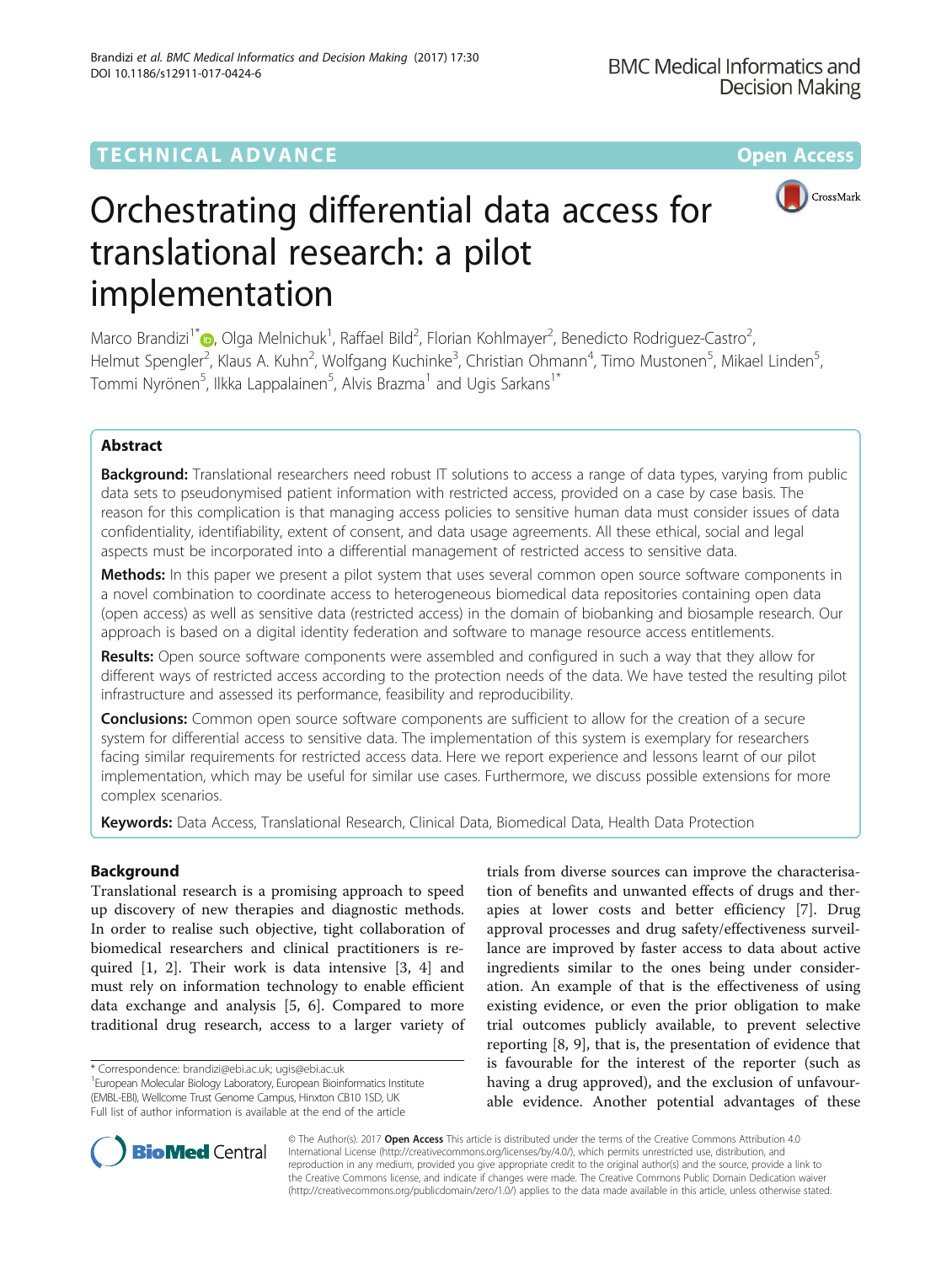# TECHNICAL ADVANCE A CONTROLLER CHARGE AND LODGED ACCESS OPEN ACCESS



# Orchestrating differential data access for translational research: a pilot implementation

Marco Brandizi<sup>1[\\*](http://orcid.org/0000-0002-5427-2496)</sup>�, Olga Melnichuk<sup>1</sup>, Raffael Bild<sup>2</sup>, Florian Kohlmayer<sup>2</sup>, Benedicto Rodriguez-Castro<sup>2</sup> , Helmut Spengler<sup>2</sup>, Klaus A. Kuhn<sup>2</sup>, Wolfgang Kuchinke<sup>3</sup>, Christian Ohmann<sup>4</sup>, Timo Mustonen<sup>5</sup>, Mikael Linden<sup>5</sup> , Tommi Nyrönen<sup>5</sup>, Ilkka Lappalainen<sup>5</sup>, Alvis Brazma<sup>1</sup> and Ugis Sarkans<sup>1\*</sup>

# Abstract

**Background:** Translational researchers need robust IT solutions to access a range of data types, varying from public data sets to pseudonymised patient information with restricted access, provided on a case by case basis. The reason for this complication is that managing access policies to sensitive human data must consider issues of data confidentiality, identifiability, extent of consent, and data usage agreements. All these ethical, social and legal aspects must be incorporated into a differential management of restricted access to sensitive data.

Methods: In this paper we present a pilot system that uses several common open source software components in a novel combination to coordinate access to heterogeneous biomedical data repositories containing open data (open access) as well as sensitive data (restricted access) in the domain of biobanking and biosample research. Our approach is based on a digital identity federation and software to manage resource access entitlements.

Results: Open source software components were assembled and configured in such a way that they allow for different ways of restricted access according to the protection needs of the data. We have tested the resulting pilot infrastructure and assessed its performance, feasibility and reproducibility.

**Conclusions:** Common open source software components are sufficient to allow for the creation of a secure system for differential access to sensitive data. The implementation of this system is exemplary for researchers facing similar requirements for restricted access data. Here we report experience and lessons learnt of our pilot implementation, which may be useful for similar use cases. Furthermore, we discuss possible extensions for more complex scenarios.

Keywords: Data Access, Translational Research, Clinical Data, Biomedical Data, Health Data Protection

# Background

Translational research is a promising approach to speed up discovery of new therapies and diagnostic methods. In order to realise such objective, tight collaboration of biomedical researchers and clinical practitioners is required [\[1](#page-10-0), [2](#page-10-0)]. Their work is data intensive [\[3](#page-10-0), [4](#page-10-0)] and must rely on information technology to enable efficient data exchange and analysis [[5, 6\]](#page-10-0). Compared to more traditional drug research, access to a larger variety of

\* Correspondence: [brandizi@ebi.ac.uk](mailto:brandizi@ebi.ac.uk); [ugis@ebi.ac.uk](mailto:ugis@ebi.ac.uk) <sup>1</sup>

trials from diverse sources can improve the characterisation of benefits and unwanted effects of drugs and therapies at lower costs and better efficiency [\[7\]](#page-10-0). Drug approval processes and drug safety/effectiveness surveillance are improved by faster access to data about active ingredients similar to the ones being under consideration. An example of that is the effectiveness of using existing evidence, or even the prior obligation to make trial outcomes publicly available, to prevent selective reporting [[8, 9\]](#page-10-0), that is, the presentation of evidence that is favourable for the interest of the reporter (such as having a drug approved), and the exclusion of unfavourable evidence. Another potential advantages of these



© The Author(s). 2017 **Open Access** This article is distributed under the terms of the Creative Commons Attribution 4.0 International License [\(http://creativecommons.org/licenses/by/4.0/](http://creativecommons.org/licenses/by/4.0/)), which permits unrestricted use, distribution, and reproduction in any medium, provided you give appropriate credit to the original author(s) and the source, provide a link to the Creative Commons license, and indicate if changes were made. The Creative Commons Public Domain Dedication waiver [\(http://creativecommons.org/publicdomain/zero/1.0/](http://creativecommons.org/publicdomain/zero/1.0/)) applies to the data made available in this article, unless otherwise stated.

<sup>&</sup>lt;sup>1</sup> European Molecular Biology Laboratory, European Bioinformatics Institute (EMBL-EBI), Wellcome Trust Genome Campus, Hinxton CB10 1SD, UK Full list of author information is available at the end of the article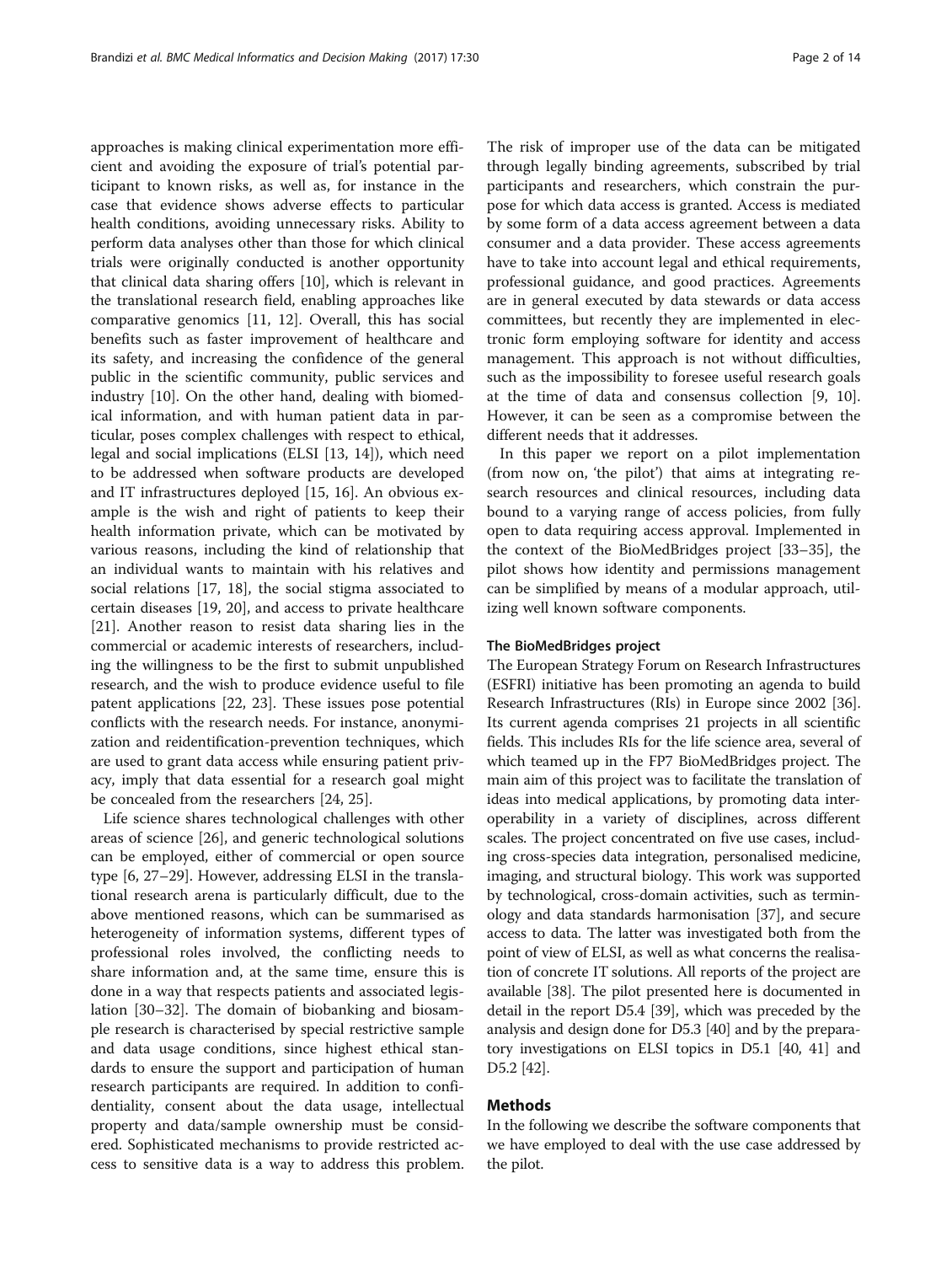approaches is making clinical experimentation more efficient and avoiding the exposure of trial's potential participant to known risks, as well as, for instance in the case that evidence shows adverse effects to particular health conditions, avoiding unnecessary risks. Ability to perform data analyses other than those for which clinical trials were originally conducted is another opportunity that clinical data sharing offers [[10\]](#page-10-0), which is relevant in the translational research field, enabling approaches like comparative genomics [[11](#page-10-0), [12\]](#page-10-0). Overall, this has social benefits such as faster improvement of healthcare and its safety, and increasing the confidence of the general public in the scientific community, public services and industry [\[10](#page-10-0)]. On the other hand, dealing with biomedical information, and with human patient data in particular, poses complex challenges with respect to ethical, legal and social implications (ELSI [\[13, 14](#page-11-0)]), which need to be addressed when software products are developed and IT infrastructures deployed [[15, 16\]](#page-11-0). An obvious example is the wish and right of patients to keep their health information private, which can be motivated by various reasons, including the kind of relationship that an individual wants to maintain with his relatives and social relations [\[17, 18](#page-11-0)], the social stigma associated to certain diseases [\[19](#page-11-0), [20](#page-11-0)], and access to private healthcare [[21\]](#page-11-0). Another reason to resist data sharing lies in the commercial or academic interests of researchers, including the willingness to be the first to submit unpublished research, and the wish to produce evidence useful to file patent applications [[22, 23\]](#page-11-0). These issues pose potential conflicts with the research needs. For instance, anonymization and reidentification-prevention techniques, which are used to grant data access while ensuring patient privacy, imply that data essential for a research goal might be concealed from the researchers [\[24, 25\]](#page-11-0).

Life science shares technological challenges with other areas of science [\[26](#page-11-0)], and generic technological solutions can be employed, either of commercial or open source type [[6,](#page-10-0) [27](#page-11-0)–[29](#page-11-0)]. However, addressing ELSI in the translational research arena is particularly difficult, due to the above mentioned reasons, which can be summarised as heterogeneity of information systems, different types of professional roles involved, the conflicting needs to share information and, at the same time, ensure this is done in a way that respects patients and associated legislation [\[30](#page-11-0)–[32\]](#page-11-0). The domain of biobanking and biosample research is characterised by special restrictive sample and data usage conditions, since highest ethical standards to ensure the support and participation of human research participants are required. In addition to confidentiality, consent about the data usage, intellectual property and data/sample ownership must be considered. Sophisticated mechanisms to provide restricted access to sensitive data is a way to address this problem.

The risk of improper use of the data can be mitigated through legally binding agreements, subscribed by trial participants and researchers, which constrain the purpose for which data access is granted. Access is mediated by some form of a data access agreement between a data consumer and a data provider. These access agreements have to take into account legal and ethical requirements, professional guidance, and good practices. Agreements are in general executed by data stewards or data access committees, but recently they are implemented in electronic form employing software for identity and access management. This approach is not without difficulties, such as the impossibility to foresee useful research goals at the time of data and consensus collection [\[9, 10](#page-10-0)]. However, it can be seen as a compromise between the different needs that it addresses.

In this paper we report on a pilot implementation (from now on, 'the pilot') that aims at integrating research resources and clinical resources, including data bound to a varying range of access policies, from fully open to data requiring access approval. Implemented in the context of the BioMedBridges project [\[33](#page-11-0)–[35\]](#page-11-0), the pilot shows how identity and permissions management can be simplified by means of a modular approach, utilizing well known software components.

#### The BioMedBridges project

The European Strategy Forum on Research Infrastructures (ESFRI) initiative has been promoting an agenda to build Research Infrastructures (RIs) in Europe since 2002 [[36](#page-11-0)]. Its current agenda comprises 21 projects in all scientific fields. This includes RIs for the life science area, several of which teamed up in the FP7 BioMedBridges project. The main aim of this project was to facilitate the translation of ideas into medical applications, by promoting data interoperability in a variety of disciplines, across different scales. The project concentrated on five use cases, including cross-species data integration, personalised medicine, imaging, and structural biology. This work was supported by technological, cross-domain activities, such as terminology and data standards harmonisation [[37\]](#page-11-0), and secure access to data. The latter was investigated both from the point of view of ELSI, as well as what concerns the realisation of concrete IT solutions. All reports of the project are available [\[38\]](#page-11-0). The pilot presented here is documented in detail in the report D5.4 [\[39\]](#page-11-0), which was preceded by the analysis and design done for D5.3 [[40](#page-11-0)] and by the preparatory investigations on ELSI topics in D5.1 [\[40, 41](#page-11-0)] and D5.2 [\[42\]](#page-11-0).

## Methods

In the following we describe the software components that we have employed to deal with the use case addressed by the pilot.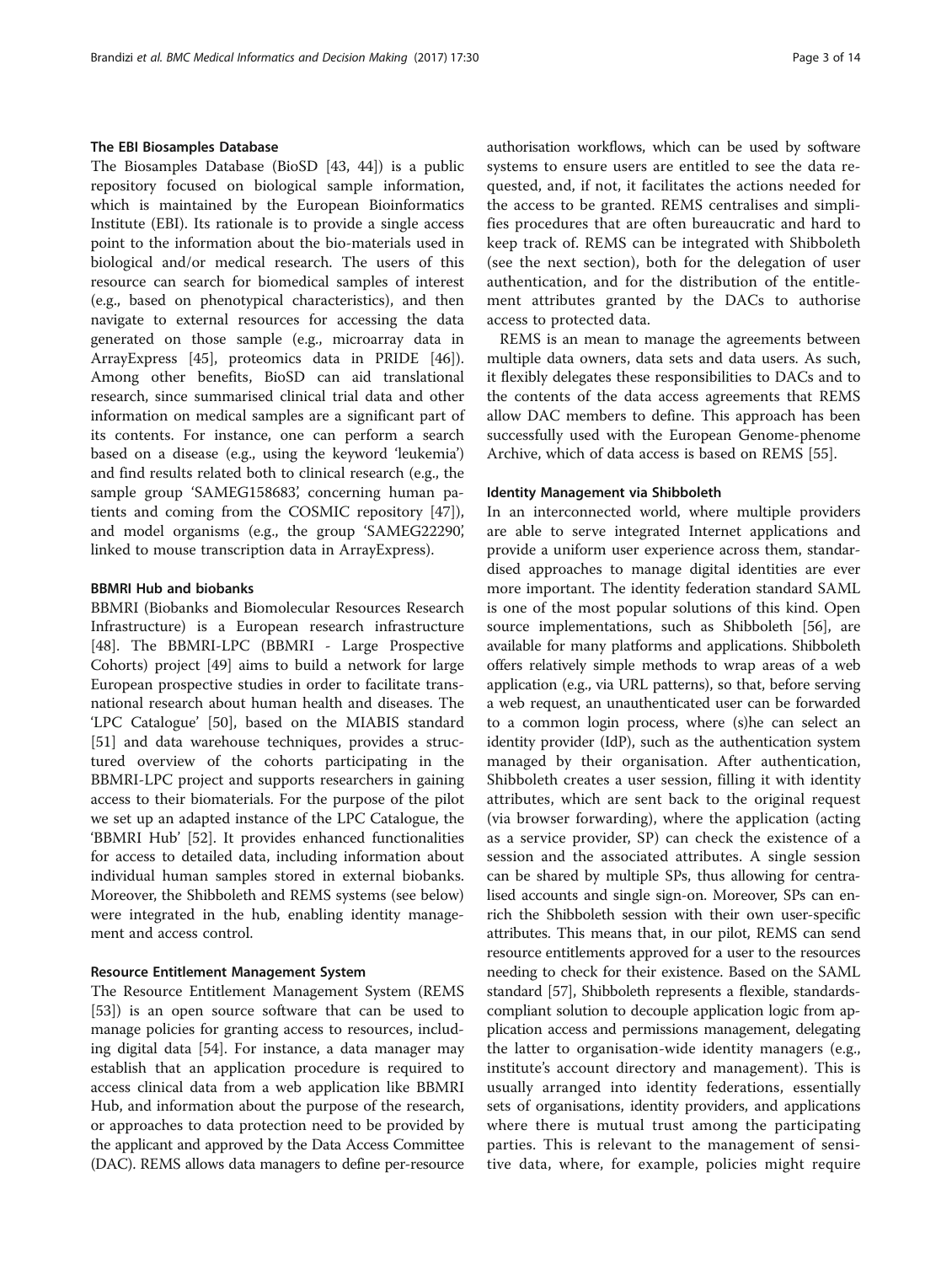#### The EBI Biosamples Database

The Biosamples Database (BioSD [\[43, 44\]](#page-11-0)) is a public repository focused on biological sample information, which is maintained by the European Bioinformatics Institute (EBI). Its rationale is to provide a single access point to the information about the bio-materials used in biological and/or medical research. The users of this resource can search for biomedical samples of interest (e.g., based on phenotypical characteristics), and then navigate to external resources for accessing the data generated on those sample (e.g., microarray data in ArrayExpress [\[45\]](#page-11-0), proteomics data in PRIDE [\[46](#page-11-0)]). Among other benefits, BioSD can aid translational research, since summarised clinical trial data and other information on medical samples are a significant part of its contents. For instance, one can perform a search based on a disease (e.g., using the keyword 'leukemia') and find results related both to clinical research (e.g., the sample group 'SAMEG158683', concerning human patients and coming from the COSMIC repository [\[47](#page-11-0)]), and model organisms (e.g., the group 'SAMEG22290', linked to mouse transcription data in ArrayExpress).

## BBMRI Hub and biobanks

BBMRI (Biobanks and Biomolecular Resources Research Infrastructure) is a European research infrastructure [[48\]](#page-11-0). The BBMRI-LPC (BBMRI - Large Prospective Cohorts) project [\[49](#page-11-0)] aims to build a network for large European prospective studies in order to facilitate transnational research about human health and diseases. The 'LPC Catalogue' [\[50\]](#page-11-0), based on the MIABIS standard [[51\]](#page-11-0) and data warehouse techniques, provides a structured overview of the cohorts participating in the BBMRI-LPC project and supports researchers in gaining access to their biomaterials. For the purpose of the pilot we set up an adapted instance of the LPC Catalogue, the 'BBMRI Hub' [\[52](#page-11-0)]. It provides enhanced functionalities for access to detailed data, including information about individual human samples stored in external biobanks. Moreover, the Shibboleth and REMS systems (see below) were integrated in the hub, enabling identity management and access control.

#### Resource Entitlement Management System

The Resource Entitlement Management System (REMS [[53\]](#page-11-0)) is an open source software that can be used to manage policies for granting access to resources, including digital data [\[54](#page-11-0)]. For instance, a data manager may establish that an application procedure is required to access clinical data from a web application like BBMRI Hub, and information about the purpose of the research, or approaches to data protection need to be provided by the applicant and approved by the Data Access Committee (DAC). REMS allows data managers to define per-resource authorisation workflows, which can be used by software systems to ensure users are entitled to see the data requested, and, if not, it facilitates the actions needed for the access to be granted. REMS centralises and simplifies procedures that are often bureaucratic and hard to keep track of. REMS can be integrated with Shibboleth (see the next section), both for the delegation of user authentication, and for the distribution of the entitlement attributes granted by the DACs to authorise access to protected data.

REMS is an mean to manage the agreements between multiple data owners, data sets and data users. As such, it flexibly delegates these responsibilities to DACs and to the contents of the data access agreements that REMS allow DAC members to define. This approach has been successfully used with the European Genome-phenome Archive, which of data access is based on REMS [[55\]](#page-11-0).

### Identity Management via Shibboleth

In an interconnected world, where multiple providers are able to serve integrated Internet applications and provide a uniform user experience across them, standardised approaches to manage digital identities are ever more important. The identity federation standard SAML is one of the most popular solutions of this kind. Open source implementations, such as Shibboleth [\[56\]](#page-11-0), are available for many platforms and applications. Shibboleth offers relatively simple methods to wrap areas of a web application (e.g., via URL patterns), so that, before serving a web request, an unauthenticated user can be forwarded to a common login process, where (s)he can select an identity provider (IdP), such as the authentication system managed by their organisation. After authentication, Shibboleth creates a user session, filling it with identity attributes, which are sent back to the original request (via browser forwarding), where the application (acting as a service provider, SP) can check the existence of a session and the associated attributes. A single session can be shared by multiple SPs, thus allowing for centralised accounts and single sign-on. Moreover, SPs can enrich the Shibboleth session with their own user-specific attributes. This means that, in our pilot, REMS can send resource entitlements approved for a user to the resources needing to check for their existence. Based on the SAML standard [[57](#page-11-0)], Shibboleth represents a flexible, standardscompliant solution to decouple application logic from application access and permissions management, delegating the latter to organisation-wide identity managers (e.g., institute's account directory and management). This is usually arranged into identity federations, essentially sets of organisations, identity providers, and applications where there is mutual trust among the participating parties. This is relevant to the management of sensitive data, where, for example, policies might require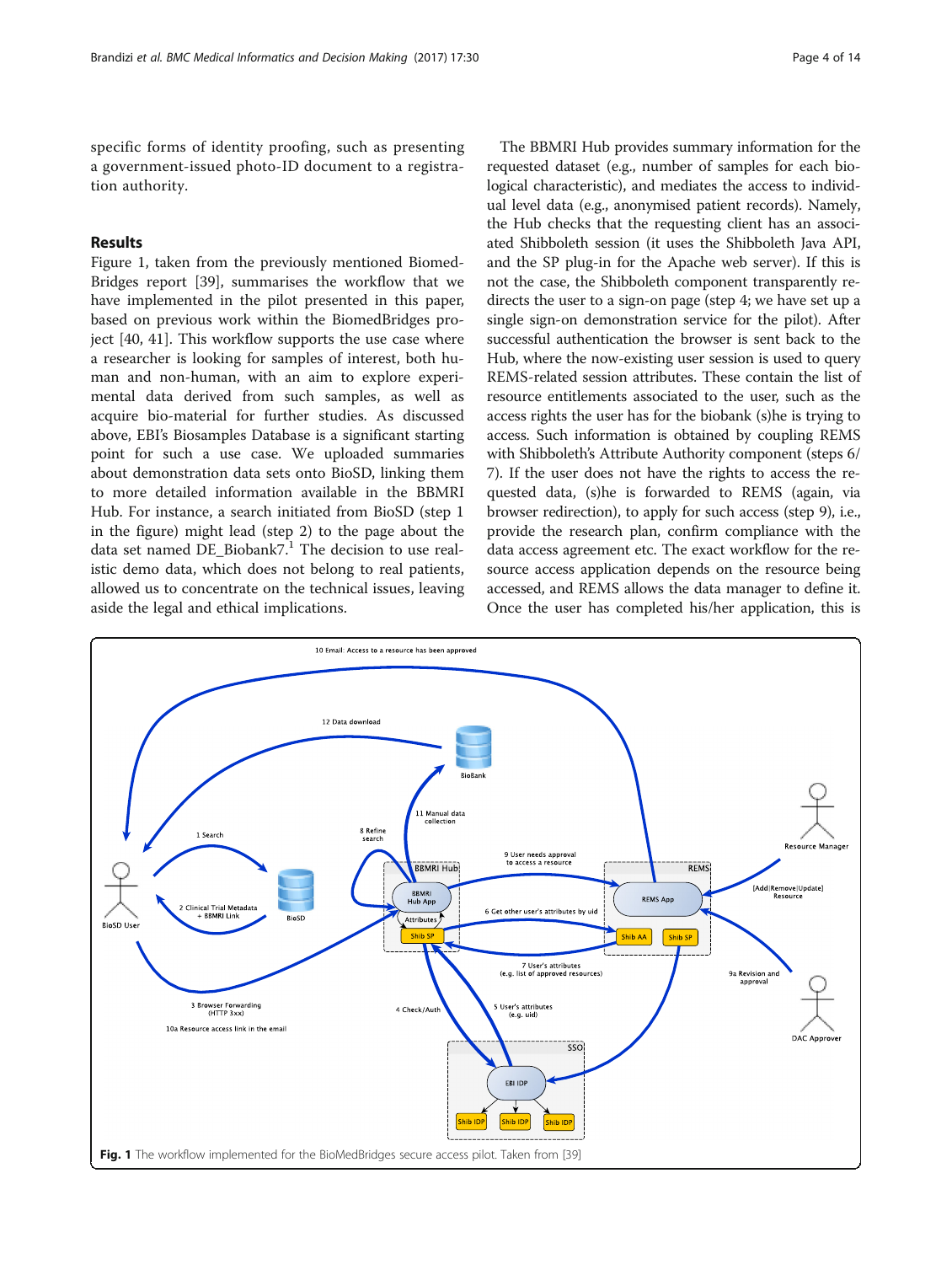specific forms of identity proofing, such as presenting a government-issued photo-ID document to a registration authority.

# Results

Figure 1, taken from the previously mentioned Biomed-Bridges report [[39\]](#page-11-0), summarises the workflow that we have implemented in the pilot presented in this paper, based on previous work within the BiomedBridges project [[40](#page-11-0), [41\]](#page-11-0). This workflow supports the use case where a researcher is looking for samples of interest, both human and non-human, with an aim to explore experimental data derived from such samples, as well as acquire bio-material for further studies. As discussed above, EBI's Biosamples Database is a significant starting point for such a use case. We uploaded summaries about demonstration data sets onto BioSD, linking them to more detailed information available in the BBMRI Hub. For instance, a search initiated from BioSD (step 1 in the figure) might lead (step 2) to the page about the data set named DE\_Biobank7.<sup>1</sup> The decision to use realistic demo data, which does not belong to real patients, allowed us to concentrate on the technical issues, leaving aside the legal and ethical implications.

The BBMRI Hub provides summary information for the requested dataset (e.g., number of samples for each biological characteristic), and mediates the access to individual level data (e.g., anonymised patient records). Namely, the Hub checks that the requesting client has an associated Shibboleth session (it uses the Shibboleth Java API, and the SP plug-in for the Apache web server). If this is not the case, the Shibboleth component transparently redirects the user to a sign-on page (step 4; we have set up a single sign-on demonstration service for the pilot). After successful authentication the browser is sent back to the Hub, where the now-existing user session is used to query REMS-related session attributes. These contain the list of resource entitlements associated to the user, such as the access rights the user has for the biobank (s)he is trying to access. Such information is obtained by coupling REMS with Shibboleth's Attribute Authority component (steps 6/ 7). If the user does not have the rights to access the requested data, (s)he is forwarded to REMS (again, via browser redirection), to apply for such access (step 9), i.e., provide the research plan, confirm compliance with the data access agreement etc. The exact workflow for the resource access application depends on the resource being accessed, and REMS allows the data manager to define it. Once the user has completed his/her application, this is

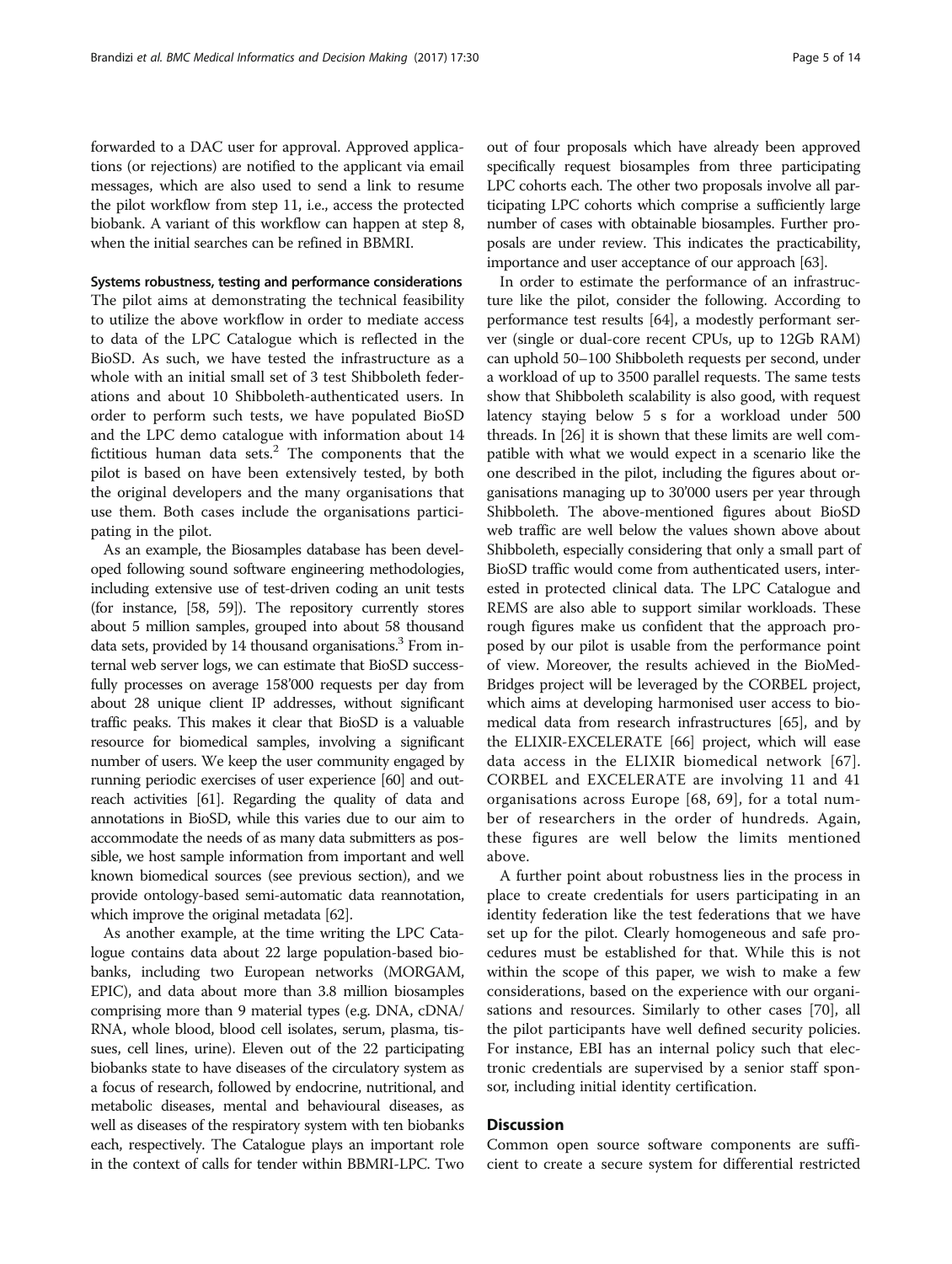forwarded to a DAC user for approval. Approved applications (or rejections) are notified to the applicant via email messages, which are also used to send a link to resume the pilot workflow from step 11, i.e., access the protected biobank. A variant of this workflow can happen at step 8, when the initial searches can be refined in BBMRI.

### Systems robustness, testing and performance considerations

The pilot aims at demonstrating the technical feasibility to utilize the above workflow in order to mediate access to data of the LPC Catalogue which is reflected in the BioSD. As such, we have tested the infrastructure as a whole with an initial small set of 3 test Shibboleth federations and about 10 Shibboleth-authenticated users. In order to perform such tests, we have populated BioSD and the LPC demo catalogue with information about 14 fictitious human data sets. $2$  The components that the pilot is based on have been extensively tested, by both the original developers and the many organisations that use them. Both cases include the organisations participating in the pilot.

As an example, the Biosamples database has been developed following sound software engineering methodologies, including extensive use of test-driven coding an unit tests (for instance, [\[58, 59](#page-11-0)]). The repository currently stores about 5 million samples, grouped into about 58 thousand data sets, provided by 14 thousand organisations.<sup>3</sup> From internal web server logs, we can estimate that BioSD successfully processes on average 158'000 requests per day from about 28 unique client IP addresses, without significant traffic peaks. This makes it clear that BioSD is a valuable resource for biomedical samples, involving a significant number of users. We keep the user community engaged by running periodic exercises of user experience [\[60\]](#page-11-0) and outreach activities [[61](#page-11-0)]. Regarding the quality of data and annotations in BioSD, while this varies due to our aim to accommodate the needs of as many data submitters as possible, we host sample information from important and well known biomedical sources (see previous section), and we provide ontology-based semi-automatic data reannotation, which improve the original metadata [\[62\]](#page-11-0).

As another example, at the time writing the LPC Catalogue contains data about 22 large population-based biobanks, including two European networks (MORGAM, EPIC), and data about more than 3.8 million biosamples comprising more than 9 material types (e.g. DNA, cDNA/ RNA, whole blood, blood cell isolates, serum, plasma, tissues, cell lines, urine). Eleven out of the 22 participating biobanks state to have diseases of the circulatory system as a focus of research, followed by endocrine, nutritional, and metabolic diseases, mental and behavioural diseases, as well as diseases of the respiratory system with ten biobanks each, respectively. The Catalogue plays an important role in the context of calls for tender within BBMRI-LPC. Two

out of four proposals which have already been approved specifically request biosamples from three participating LPC cohorts each. The other two proposals involve all participating LPC cohorts which comprise a sufficiently large number of cases with obtainable biosamples. Further proposals are under review. This indicates the practicability, importance and user acceptance of our approach [\[63\]](#page-11-0).

In order to estimate the performance of an infrastructure like the pilot, consider the following. According to performance test results [\[64\]](#page-11-0), a modestly performant server (single or dual-core recent CPUs, up to 12Gb RAM) can uphold 50–100 Shibboleth requests per second, under a workload of up to 3500 parallel requests. The same tests show that Shibboleth scalability is also good, with request latency staying below 5 s for a workload under 500 threads. In [[26](#page-11-0)] it is shown that these limits are well compatible with what we would expect in a scenario like the one described in the pilot, including the figures about organisations managing up to 30'000 users per year through Shibboleth. The above-mentioned figures about BioSD web traffic are well below the values shown above about Shibboleth, especially considering that only a small part of BioSD traffic would come from authenticated users, interested in protected clinical data. The LPC Catalogue and REMS are also able to support similar workloads. These rough figures make us confident that the approach proposed by our pilot is usable from the performance point of view. Moreover, the results achieved in the BioMed-Bridges project will be leveraged by the CORBEL project, which aims at developing harmonised user access to biomedical data from research infrastructures [\[65\]](#page-11-0), and by the ELIXIR-EXCELERATE [\[66\]](#page-11-0) project, which will ease data access in the ELIXIR biomedical network [[67](#page-11-0)]. CORBEL and EXCELERATE are involving 11 and 41 organisations across Europe [\[68, 69\]](#page-12-0), for a total number of researchers in the order of hundreds. Again, these figures are well below the limits mentioned above.

A further point about robustness lies in the process in place to create credentials for users participating in an identity federation like the test federations that we have set up for the pilot. Clearly homogeneous and safe procedures must be established for that. While this is not within the scope of this paper, we wish to make a few considerations, based on the experience with our organisations and resources. Similarly to other cases [\[70](#page-12-0)], all the pilot participants have well defined security policies. For instance, EBI has an internal policy such that electronic credentials are supervised by a senior staff sponsor, including initial identity certification.

# **Discussion**

Common open source software components are sufficient to create a secure system for differential restricted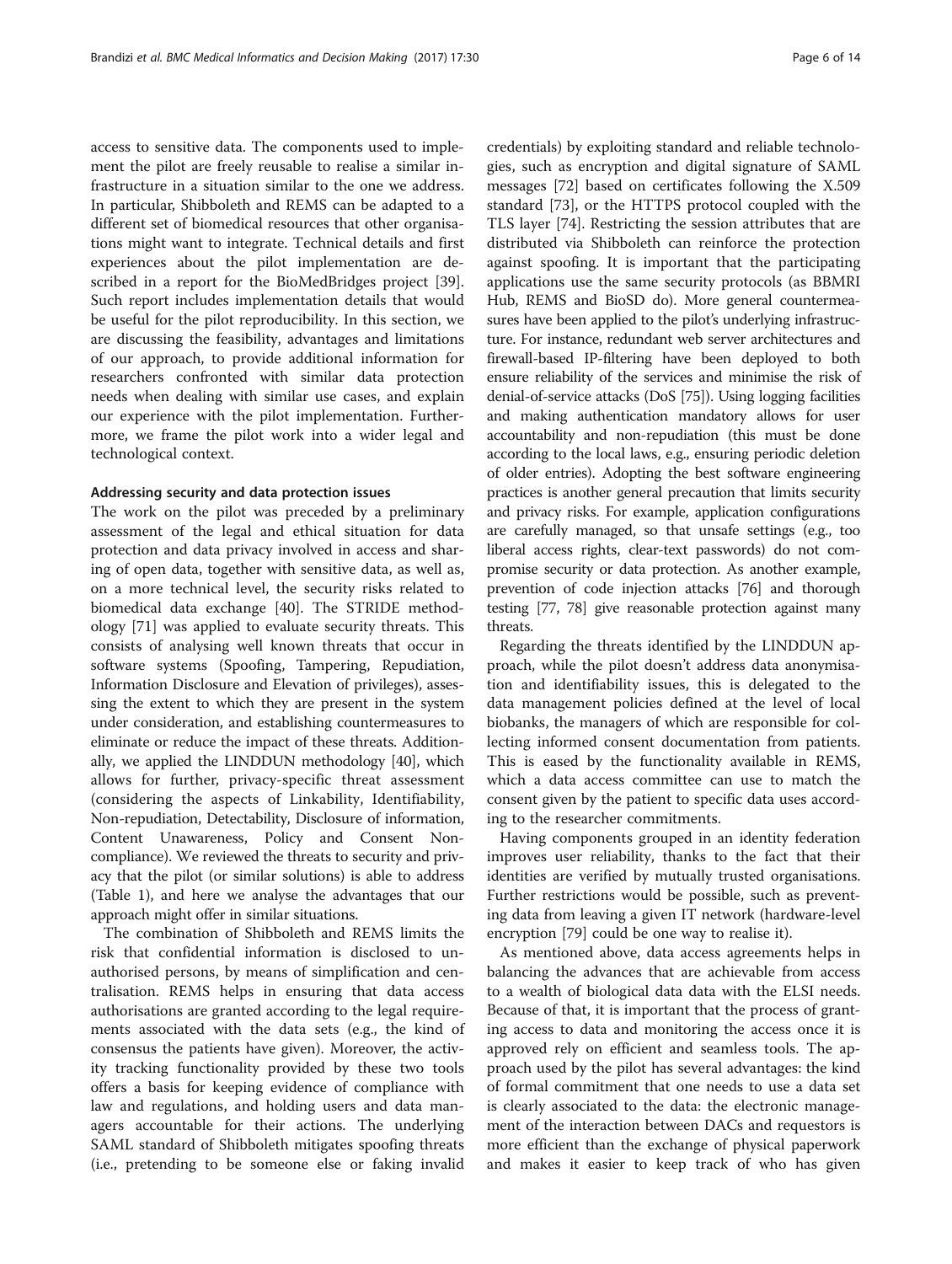access to sensitive data. The components used to implement the pilot are freely reusable to realise a similar infrastructure in a situation similar to the one we address. In particular, Shibboleth and REMS can be adapted to a different set of biomedical resources that other organisations might want to integrate. Technical details and first experiences about the pilot implementation are described in a report for the BioMedBridges project [\[39](#page-11-0)]. Such report includes implementation details that would be useful for the pilot reproducibility. In this section, we are discussing the feasibility, advantages and limitations of our approach, to provide additional information for researchers confronted with similar data protection needs when dealing with similar use cases, and explain our experience with the pilot implementation. Furthermore, we frame the pilot work into a wider legal and technological context.

#### Addressing security and data protection issues

The work on the pilot was preceded by a preliminary assessment of the legal and ethical situation for data protection and data privacy involved in access and sharing of open data, together with sensitive data, as well as, on a more technical level, the security risks related to biomedical data exchange [[40\]](#page-11-0). The STRIDE methodology [\[71](#page-12-0)] was applied to evaluate security threats. This consists of analysing well known threats that occur in software systems (Spoofing, Tampering, Repudiation, Information Disclosure and Elevation of privileges), assessing the extent to which they are present in the system under consideration, and establishing countermeasures to eliminate or reduce the impact of these threats. Additionally, we applied the LINDDUN methodology [[40](#page-11-0)], which allows for further, privacy-specific threat assessment (considering the aspects of Linkability, Identifiability, Non-repudiation, Detectability, Disclosure of information, Content Unawareness, Policy and Consent Noncompliance). We reviewed the threats to security and privacy that the pilot (or similar solutions) is able to address (Table [1](#page-6-0)), and here we analyse the advantages that our approach might offer in similar situations.

The combination of Shibboleth and REMS limits the risk that confidential information is disclosed to unauthorised persons, by means of simplification and centralisation. REMS helps in ensuring that data access authorisations are granted according to the legal requirements associated with the data sets (e.g., the kind of consensus the patients have given). Moreover, the activity tracking functionality provided by these two tools offers a basis for keeping evidence of compliance with law and regulations, and holding users and data managers accountable for their actions. The underlying SAML standard of Shibboleth mitigates spoofing threats (i.e., pretending to be someone else or faking invalid

credentials) by exploiting standard and reliable technologies, such as encryption and digital signature of SAML messages [\[72](#page-12-0)] based on certificates following the X.509 standard [[73\]](#page-12-0), or the HTTPS protocol coupled with the TLS layer [\[74\]](#page-12-0). Restricting the session attributes that are distributed via Shibboleth can reinforce the protection against spoofing. It is important that the participating applications use the same security protocols (as BBMRI Hub, REMS and BioSD do). More general countermeasures have been applied to the pilot's underlying infrastructure. For instance, redundant web server architectures and firewall-based IP-filtering have been deployed to both ensure reliability of the services and minimise the risk of denial-of-service attacks (DoS [[75](#page-12-0)]). Using logging facilities and making authentication mandatory allows for user accountability and non-repudiation (this must be done according to the local laws, e.g., ensuring periodic deletion of older entries). Adopting the best software engineering practices is another general precaution that limits security and privacy risks. For example, application configurations are carefully managed, so that unsafe settings (e.g., too liberal access rights, clear-text passwords) do not compromise security or data protection. As another example, prevention of code injection attacks [\[76\]](#page-12-0) and thorough testing [[77](#page-12-0), [78](#page-12-0)] give reasonable protection against many threats.

Regarding the threats identified by the LINDDUN approach, while the pilot doesn't address data anonymisation and identifiability issues, this is delegated to the data management policies defined at the level of local biobanks, the managers of which are responsible for collecting informed consent documentation from patients. This is eased by the functionality available in REMS, which a data access committee can use to match the consent given by the patient to specific data uses according to the researcher commitments.

Having components grouped in an identity federation improves user reliability, thanks to the fact that their identities are verified by mutually trusted organisations. Further restrictions would be possible, such as preventing data from leaving a given IT network (hardware-level encryption [[79](#page-12-0)] could be one way to realise it).

As mentioned above, data access agreements helps in balancing the advances that are achievable from access to a wealth of biological data data with the ELSI needs. Because of that, it is important that the process of granting access to data and monitoring the access once it is approved rely on efficient and seamless tools. The approach used by the pilot has several advantages: the kind of formal commitment that one needs to use a data set is clearly associated to the data: the electronic management of the interaction between DACs and requestors is more efficient than the exchange of physical paperwork and makes it easier to keep track of who has given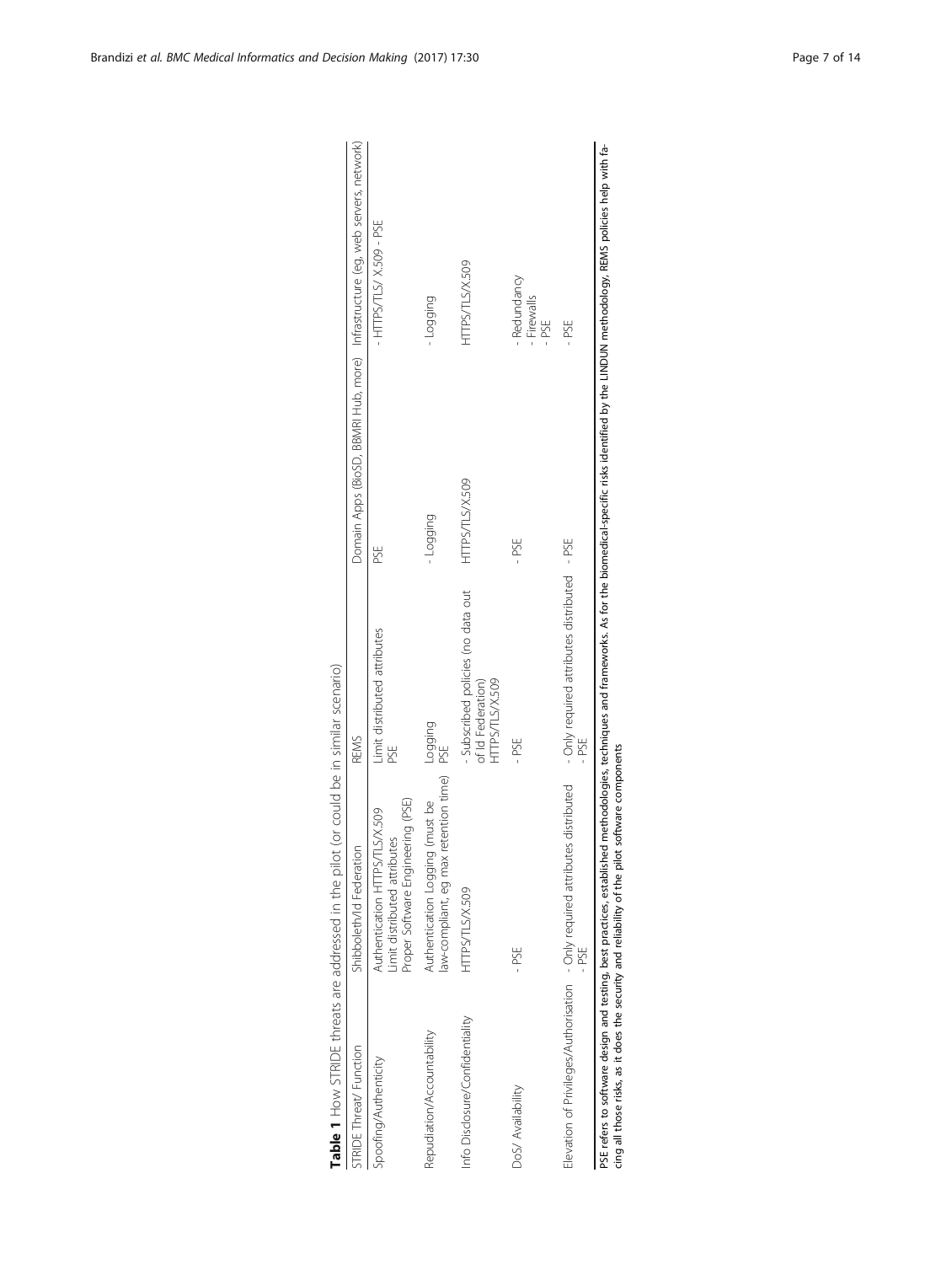<span id="page-6-0"></span>

| STRIDE Threat/ Function         | Shibboleth/Id Federation                                                                            | <b>REMS</b>                                                                | Domain Apps (BioSD, BBMRI Hub, more) Infrastructure (eq., web servers, network)                                                                                                                                         |                                      |
|---------------------------------|-----------------------------------------------------------------------------------------------------|----------------------------------------------------------------------------|-------------------------------------------------------------------------------------------------------------------------------------------------------------------------------------------------------------------------|--------------------------------------|
| Spoofing/Authenticity           | Proper Software Engineering (PSE)<br>Authentication HTTPS/TLS/X.509<br>Limit distributed attributes | Limit distributed attributes<br>у.                                         | 9SE                                                                                                                                                                                                                     | - HTTPS/TLS/ $X.509 - PSE$           |
| Repudiation/Accountability      | retention time)<br>Authentication Logging (must be<br>law-compliant, eg max                         | Logging<br>PSE                                                             | - Logging                                                                                                                                                                                                               | puibba <sub>1</sub> -                |
| Info Disclosure/Confidentiality | HTTPS/TLS/X.509                                                                                     | - Subscribed policies (no data out<br>HTTPS/TLS/X.509<br>of Id Federation) | HTTPS/TLS/X.509                                                                                                                                                                                                         | HTTPS/TLS/X.509                      |
| DoS/ Availability               | - PSE                                                                                               | $-$ PSE                                                                    | $-$ PSE                                                                                                                                                                                                                 | - Redundancy<br>- Firewalls<br>- PSE |
|                                 | Elevation of Privileges/Authorisation - Only required attributes distributed<br>55                  | - Only required attributes distributed - PSE<br>- PSE                      |                                                                                                                                                                                                                         | - PSE                                |
|                                 | cing all those risks, as it does the sequrity and reliability of the pilot software components      |                                                                            | PSE refers to software design and testing, best practices, established methodologies, techniques and frameworks. As for the biomedical-specific risks identified by the LINDUN methodology, REMS policies help with fa- |                                      |

| J                |
|------------------|
| ۱,               |
|                  |
|                  |
|                  |
|                  |
|                  |
|                  |
|                  |
|                  |
|                  |
|                  |
| $\frac{1}{2}$    |
|                  |
|                  |
|                  |
|                  |
| J                |
|                  |
|                  |
|                  |
|                  |
|                  |
|                  |
|                  |
|                  |
|                  |
|                  |
|                  |
|                  |
|                  |
|                  |
|                  |
|                  |
|                  |
|                  |
|                  |
| 5<br>5<br>5      |
|                  |
|                  |
|                  |
|                  |
|                  |
| )<br>)<br>)<br>) |
|                  |
| )<br> <br>       |
| $\frac{1}{2}$    |
|                  |
|                  |
|                  |
|                  |
|                  |
|                  |
|                  |
|                  |
|                  |
| $\frac{1}{2}$    |
|                  |
|                  |
|                  |
|                  |

 $\frac{1}{6}$ PSE refers to software design and testing, best practices, established methodologies, techniques and frameworks. As for the biomedical-specific risks identified by the LINDUN methodology, REMS policies help with facing all those risks, as it does the security and reliability of the pilot software components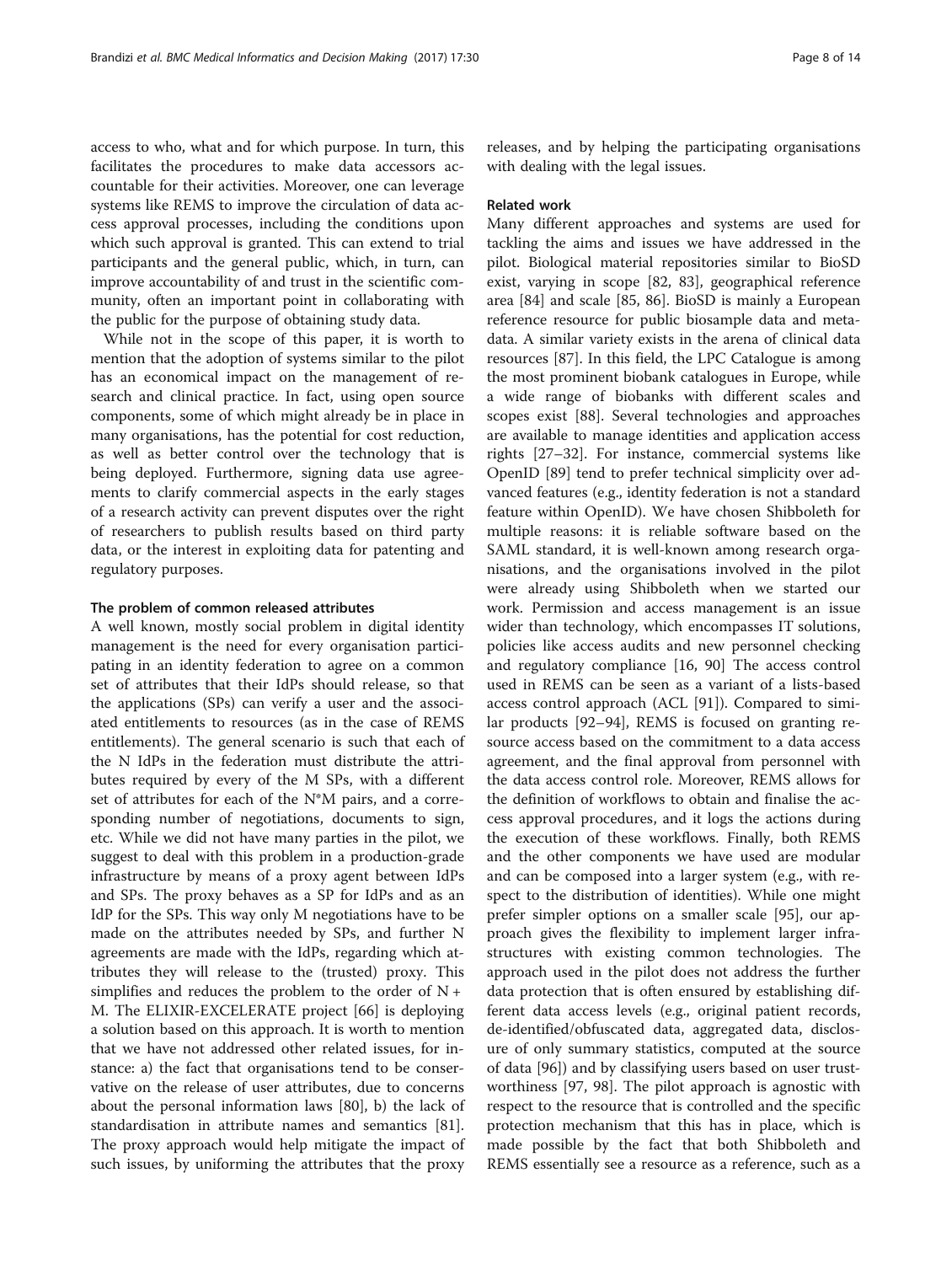access to who, what and for which purpose. In turn, this facilitates the procedures to make data accessors accountable for their activities. Moreover, one can leverage systems like REMS to improve the circulation of data access approval processes, including the conditions upon which such approval is granted. This can extend to trial participants and the general public, which, in turn, can improve accountability of and trust in the scientific community, often an important point in collaborating with the public for the purpose of obtaining study data.

While not in the scope of this paper, it is worth to mention that the adoption of systems similar to the pilot has an economical impact on the management of research and clinical practice. In fact, using open source components, some of which might already be in place in many organisations, has the potential for cost reduction, as well as better control over the technology that is being deployed. Furthermore, signing data use agreements to clarify commercial aspects in the early stages of a research activity can prevent disputes over the right of researchers to publish results based on third party data, or the interest in exploiting data for patenting and regulatory purposes.

#### The problem of common released attributes

A well known, mostly social problem in digital identity management is the need for every organisation participating in an identity federation to agree on a common set of attributes that their IdPs should release, so that the applications (SPs) can verify a user and the associated entitlements to resources (as in the case of REMS entitlements). The general scenario is such that each of the N IdPs in the federation must distribute the attributes required by every of the M SPs, with a different set of attributes for each of the N\*M pairs, and a corresponding number of negotiations, documents to sign, etc. While we did not have many parties in the pilot, we suggest to deal with this problem in a production-grade infrastructure by means of a proxy agent between IdPs and SPs. The proxy behaves as a SP for IdPs and as an IdP for the SPs. This way only M negotiations have to be made on the attributes needed by SPs, and further N agreements are made with the IdPs, regarding which attributes they will release to the (trusted) proxy. This simplifies and reduces the problem to the order of N + M. The ELIXIR-EXCELERATE project [\[66](#page-11-0)] is deploying a solution based on this approach. It is worth to mention that we have not addressed other related issues, for instance: a) the fact that organisations tend to be conservative on the release of user attributes, due to concerns about the personal information laws [\[80\]](#page-12-0), b) the lack of standardisation in attribute names and semantics [\[81](#page-12-0)]. The proxy approach would help mitigate the impact of such issues, by uniforming the attributes that the proxy

releases, and by helping the participating organisations with dealing with the legal issues.

### Related work

Many different approaches and systems are used for tackling the aims and issues we have addressed in the pilot. Biological material repositories similar to BioSD exist, varying in scope [\[82](#page-12-0), [83\]](#page-12-0), geographical reference area [\[84\]](#page-12-0) and scale [[85](#page-12-0), [86\]](#page-12-0). BioSD is mainly a European reference resource for public biosample data and metadata. A similar variety exists in the arena of clinical data resources [[87](#page-12-0)]. In this field, the LPC Catalogue is among the most prominent biobank catalogues in Europe, while a wide range of biobanks with different scales and scopes exist [[88\]](#page-12-0). Several technologies and approaches are available to manage identities and application access rights [[27](#page-11-0)–[32](#page-11-0)]. For instance, commercial systems like OpenID [\[89](#page-12-0)] tend to prefer technical simplicity over advanced features (e.g., identity federation is not a standard feature within OpenID). We have chosen Shibboleth for multiple reasons: it is reliable software based on the SAML standard, it is well-known among research organisations, and the organisations involved in the pilot were already using Shibboleth when we started our work. Permission and access management is an issue wider than technology, which encompasses IT solutions, policies like access audits and new personnel checking and regulatory compliance [[16](#page-11-0), [90\]](#page-12-0) The access control used in REMS can be seen as a variant of a lists-based access control approach (ACL [\[91](#page-12-0)]). Compared to similar products [[92](#page-12-0)–[94\]](#page-12-0), REMS is focused on granting resource access based on the commitment to a data access agreement, and the final approval from personnel with the data access control role. Moreover, REMS allows for the definition of workflows to obtain and finalise the access approval procedures, and it logs the actions during the execution of these workflows. Finally, both REMS and the other components we have used are modular and can be composed into a larger system (e.g., with respect to the distribution of identities). While one might prefer simpler options on a smaller scale [\[95](#page-12-0)], our approach gives the flexibility to implement larger infrastructures with existing common technologies. The approach used in the pilot does not address the further data protection that is often ensured by establishing different data access levels (e.g., original patient records, de-identified/obfuscated data, aggregated data, disclosure of only summary statistics, computed at the source of data [[96\]](#page-12-0)) and by classifying users based on user trustworthiness [[97](#page-12-0), [98](#page-12-0)]. The pilot approach is agnostic with respect to the resource that is controlled and the specific protection mechanism that this has in place, which is made possible by the fact that both Shibboleth and REMS essentially see a resource as a reference, such as a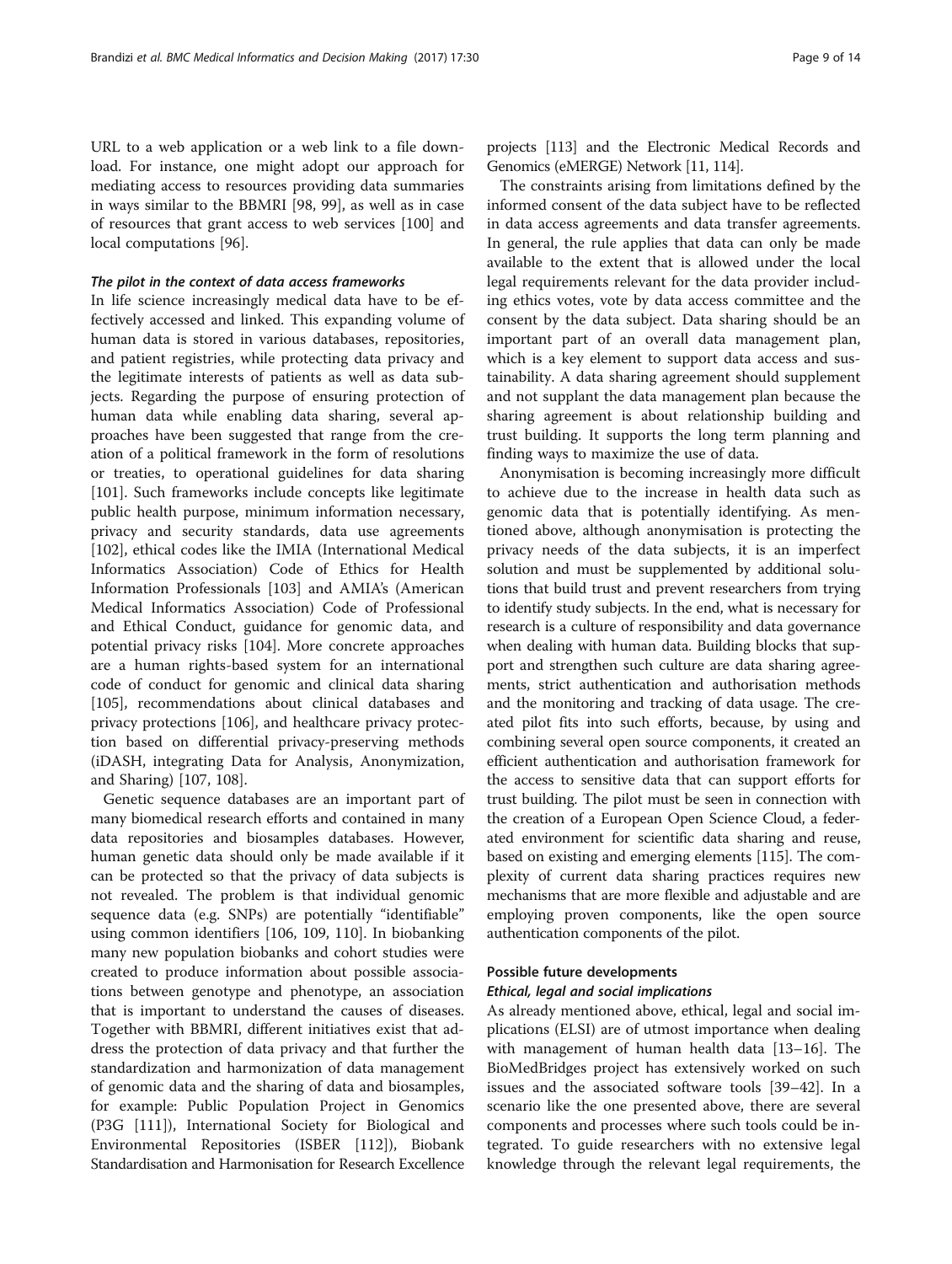URL to a web application or a web link to a file download. For instance, one might adopt our approach for mediating access to resources providing data summaries in ways similar to the BBMRI [[98, 99\]](#page-12-0), as well as in case of resources that grant access to web services [\[100\]](#page-12-0) and local computations [[96](#page-12-0)].

### The pilot in the context of data access frameworks

In life science increasingly medical data have to be effectively accessed and linked. This expanding volume of human data is stored in various databases, repositories, and patient registries, while protecting data privacy and the legitimate interests of patients as well as data subjects. Regarding the purpose of ensuring protection of human data while enabling data sharing, several approaches have been suggested that range from the creation of a political framework in the form of resolutions or treaties, to operational guidelines for data sharing [[101\]](#page-12-0). Such frameworks include concepts like legitimate public health purpose, minimum information necessary, privacy and security standards, data use agreements [[102\]](#page-12-0), ethical codes like the IMIA (International Medical Informatics Association) Code of Ethics for Health Information Professionals [[103](#page-12-0)] and AMIA's (American Medical Informatics Association) Code of Professional and Ethical Conduct, guidance for genomic data, and potential privacy risks [[104](#page-12-0)]. More concrete approaches are a human rights-based system for an international code of conduct for genomic and clinical data sharing [[105\]](#page-12-0), recommendations about clinical databases and privacy protections [[106](#page-12-0)], and healthcare privacy protection based on differential privacy-preserving methods (iDASH, integrating Data for Analysis, Anonymization, and Sharing) [\[107, 108\]](#page-12-0).

Genetic sequence databases are an important part of many biomedical research efforts and contained in many data repositories and biosamples databases. However, human genetic data should only be made available if it can be protected so that the privacy of data subjects is not revealed. The problem is that individual genomic sequence data (e.g. SNPs) are potentially "identifiable" using common identifiers [[106, 109, 110](#page-12-0)]. In biobanking many new population biobanks and cohort studies were created to produce information about possible associations between genotype and phenotype, an association that is important to understand the causes of diseases. Together with BBMRI, different initiatives exist that address the protection of data privacy and that further the standardization and harmonization of data management of genomic data and the sharing of data and biosamples, for example: Public Population Project in Genomics (P3G [\[111\]](#page-12-0)), International Society for Biological and Environmental Repositories (ISBER [\[112\]](#page-12-0)), Biobank Standardisation and Harmonisation for Research Excellence projects [\[113](#page-12-0)] and the Electronic Medical Records and Genomics (eMERGE) Network [\[11,](#page-10-0) [114](#page-12-0)].

The constraints arising from limitations defined by the informed consent of the data subject have to be reflected in data access agreements and data transfer agreements. In general, the rule applies that data can only be made available to the extent that is allowed under the local legal requirements relevant for the data provider including ethics votes, vote by data access committee and the consent by the data subject. Data sharing should be an important part of an overall data management plan, which is a key element to support data access and sustainability. A data sharing agreement should supplement and not supplant the data management plan because the sharing agreement is about relationship building and trust building. It supports the long term planning and finding ways to maximize the use of data.

Anonymisation is becoming increasingly more difficult to achieve due to the increase in health data such as genomic data that is potentially identifying. As mentioned above, although anonymisation is protecting the privacy needs of the data subjects, it is an imperfect solution and must be supplemented by additional solutions that build trust and prevent researchers from trying to identify study subjects. In the end, what is necessary for research is a culture of responsibility and data governance when dealing with human data. Building blocks that support and strengthen such culture are data sharing agreements, strict authentication and authorisation methods and the monitoring and tracking of data usage. The created pilot fits into such efforts, because, by using and combining several open source components, it created an efficient authentication and authorisation framework for the access to sensitive data that can support efforts for trust building. The pilot must be seen in connection with the creation of a European Open Science Cloud, a federated environment for scientific data sharing and reuse, based on existing and emerging elements [\[115\]](#page-12-0). The complexity of current data sharing practices requires new mechanisms that are more flexible and adjustable and are employing proven components, like the open source authentication components of the pilot.

#### Possible future developments

# Ethical, legal and social implications

As already mentioned above, ethical, legal and social implications (ELSI) are of utmost importance when dealing with management of human health data [[13](#page-11-0)–[16](#page-11-0)]. The BioMedBridges project has extensively worked on such issues and the associated software tools [[39](#page-11-0)–[42](#page-11-0)]. In a scenario like the one presented above, there are several components and processes where such tools could be integrated. To guide researchers with no extensive legal knowledge through the relevant legal requirements, the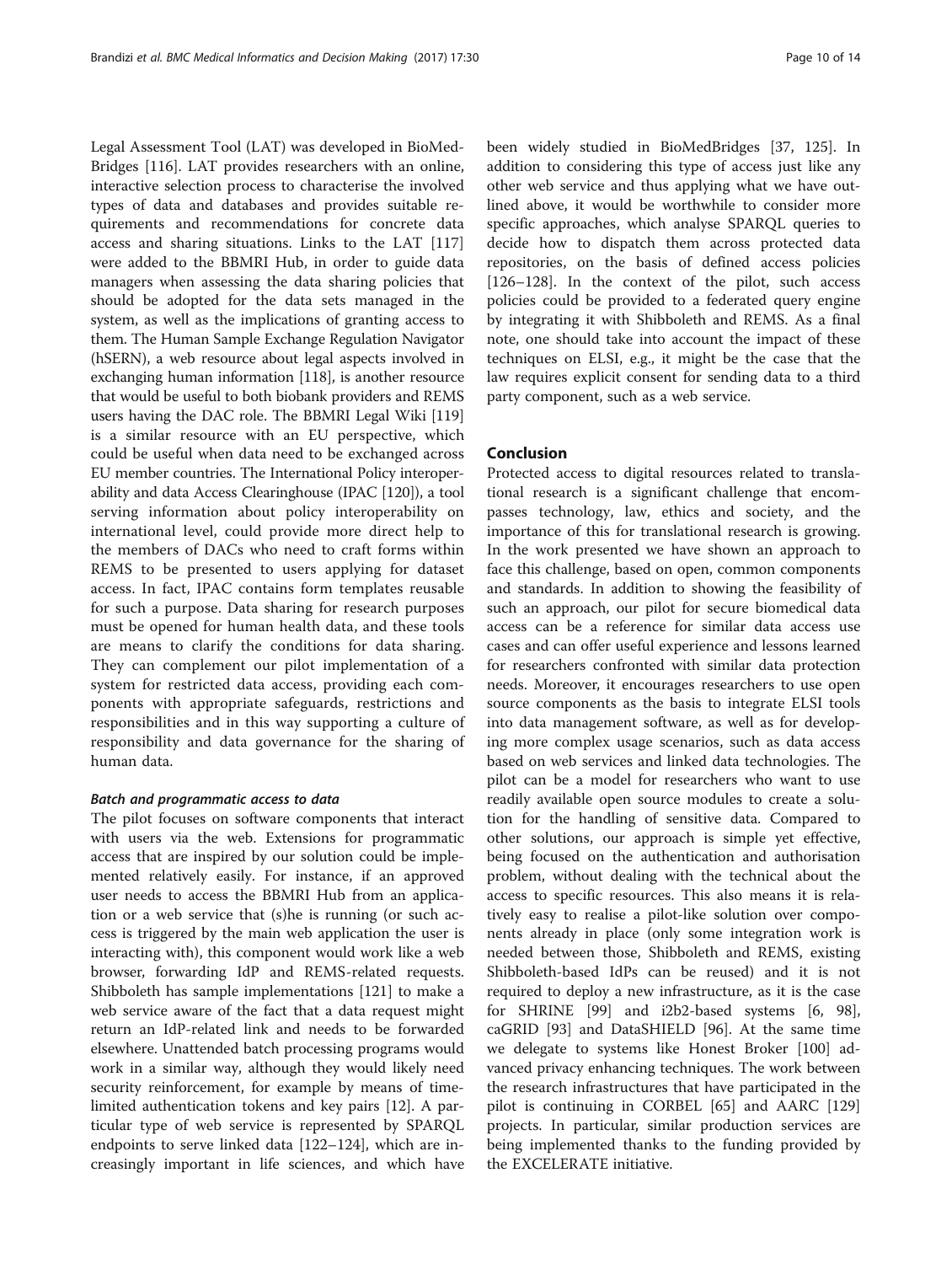Legal Assessment Tool (LAT) was developed in BioMed-Bridges [[116](#page-12-0)]. LAT provides researchers with an online, interactive selection process to characterise the involved types of data and databases and provides suitable requirements and recommendations for concrete data access and sharing situations. Links to the LAT [[117](#page-12-0)] were added to the BBMRI Hub, in order to guide data managers when assessing the data sharing policies that should be adopted for the data sets managed in the system, as well as the implications of granting access to them. The Human Sample Exchange Regulation Navigator (hSERN), a web resource about legal aspects involved in exchanging human information [\[118\]](#page-12-0), is another resource that would be useful to both biobank providers and REMS users having the DAC role. The BBMRI Legal Wiki [\[119](#page-12-0)] is a similar resource with an EU perspective, which could be useful when data need to be exchanged across EU member countries. The International Policy interoperability and data Access Clearinghouse (IPAC [[120](#page-12-0)]), a tool serving information about policy interoperability on international level, could provide more direct help to the members of DACs who need to craft forms within REMS to be presented to users applying for dataset access. In fact, IPAC contains form templates reusable for such a purpose. Data sharing for research purposes must be opened for human health data, and these tools are means to clarify the conditions for data sharing. They can complement our pilot implementation of a system for restricted data access, providing each components with appropriate safeguards, restrictions and responsibilities and in this way supporting a culture of responsibility and data governance for the sharing of human data.

#### Batch and programmatic access to data

The pilot focuses on software components that interact with users via the web. Extensions for programmatic access that are inspired by our solution could be implemented relatively easily. For instance, if an approved user needs to access the BBMRI Hub from an application or a web service that (s)he is running (or such access is triggered by the main web application the user is interacting with), this component would work like a web browser, forwarding IdP and REMS-related requests. Shibboleth has sample implementations [[121\]](#page-12-0) to make a web service aware of the fact that a data request might return an IdP-related link and needs to be forwarded elsewhere. Unattended batch processing programs would work in a similar way, although they would likely need security reinforcement, for example by means of timelimited authentication tokens and key pairs [\[12](#page-10-0)]. A particular type of web service is represented by SPARQL endpoints to serve linked data [\[122](#page-12-0)–[124\]](#page-12-0), which are increasingly important in life sciences, and which have

been widely studied in BioMedBridges [\[37,](#page-11-0) [125](#page-12-0)]. In addition to considering this type of access just like any other web service and thus applying what we have outlined above, it would be worthwhile to consider more specific approaches, which analyse SPARQL queries to decide how to dispatch them across protected data repositories, on the basis of defined access policies [[126](#page-13-0)–[128](#page-13-0)]. In the context of the pilot, such access policies could be provided to a federated query engine by integrating it with Shibboleth and REMS. As a final note, one should take into account the impact of these techniques on ELSI, e.g., it might be the case that the law requires explicit consent for sending data to a third party component, such as a web service.

# Conclusion

Protected access to digital resources related to translational research is a significant challenge that encompasses technology, law, ethics and society, and the importance of this for translational research is growing. In the work presented we have shown an approach to face this challenge, based on open, common components and standards. In addition to showing the feasibility of such an approach, our pilot for secure biomedical data access can be a reference for similar data access use cases and can offer useful experience and lessons learned for researchers confronted with similar data protection needs. Moreover, it encourages researchers to use open source components as the basis to integrate ELSI tools into data management software, as well as for developing more complex usage scenarios, such as data access based on web services and linked data technologies. The pilot can be a model for researchers who want to use readily available open source modules to create a solution for the handling of sensitive data. Compared to other solutions, our approach is simple yet effective, being focused on the authentication and authorisation problem, without dealing with the technical about the access to specific resources. This also means it is relatively easy to realise a pilot-like solution over components already in place (only some integration work is needed between those, Shibboleth and REMS, existing Shibboleth-based IdPs can be reused) and it is not required to deploy a new infrastructure, as it is the case for SHRINE [\[99\]](#page-12-0) and i2b2-based systems [\[6](#page-10-0), [98](#page-12-0)], caGRID [[93\]](#page-12-0) and DataSHIELD [\[96\]](#page-12-0). At the same time we delegate to systems like Honest Broker [[100\]](#page-12-0) advanced privacy enhancing techniques. The work between the research infrastructures that have participated in the pilot is continuing in CORBEL [[65](#page-11-0)] and AARC [[129](#page-13-0)] projects. In particular, similar production services are being implemented thanks to the funding provided by the EXCELERATE initiative.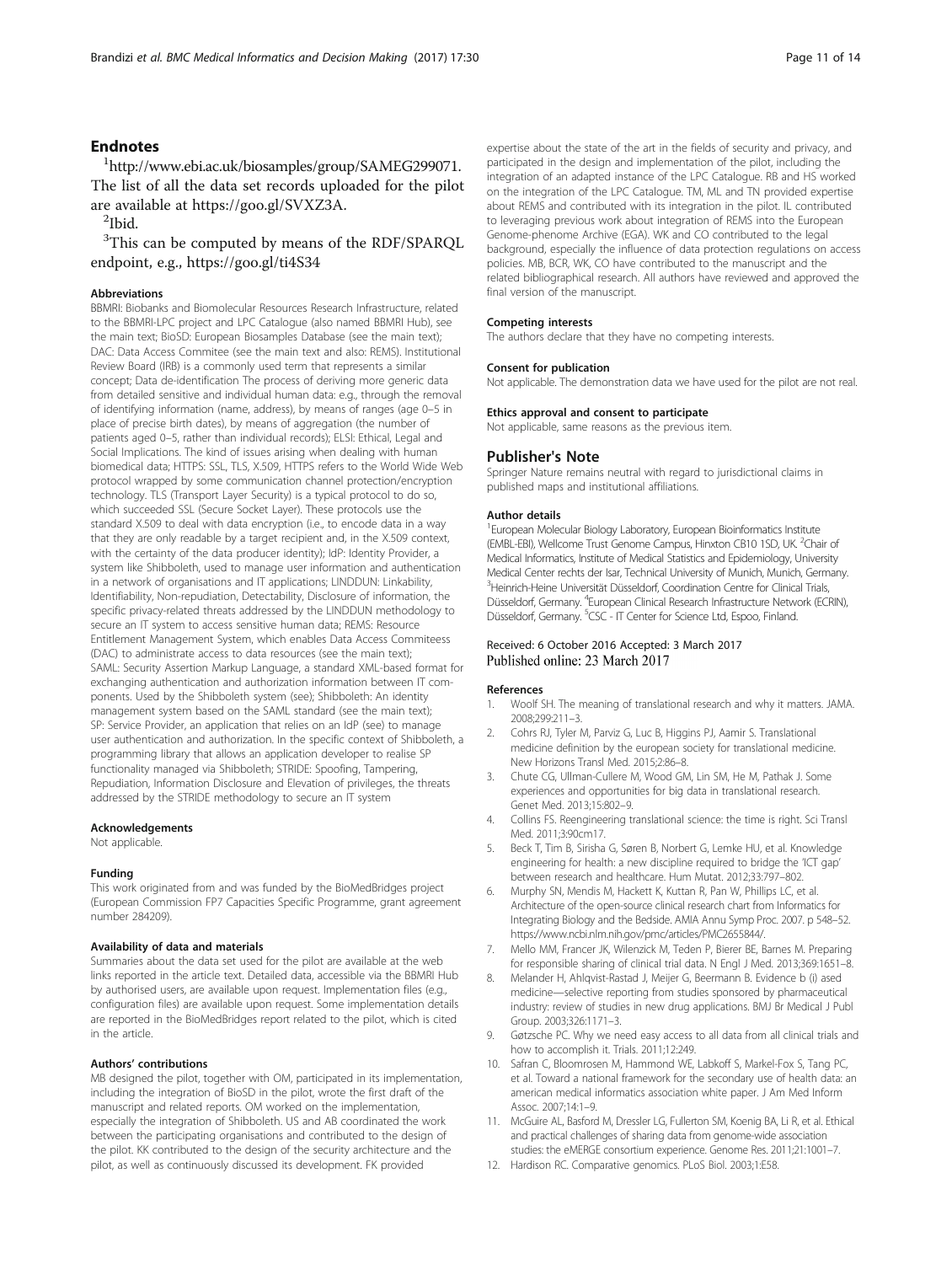## <span id="page-10-0"></span>**Endnotes**

[http://www.ebi.ac.uk/biosamples/group/SAMEG299071.](http://www.ebi.ac.uk/biosamples/group/SAMEG299071) The list of all the data set records uploaded for the pilot are available at [https://goo.gl/SVXZ3A.](https://goo.gl/SVXZ3A) <sup>2</sup>

 $^{2}$ Ibid.

<sup>3</sup>This can be computed by means of the RDF/SPARQL endpoint, e.g.,<https://goo.gl/ti4S34>

#### Abbreviations

BBMRI: Biobanks and Biomolecular Resources Research Infrastructure, related to the BBMRI-LPC project and LPC Catalogue (also named BBMRI Hub), see the main text; BioSD: European Biosamples Database (see the main text); DAC: Data Access Commitee (see the main text and also: REMS). Institutional Review Board (IRB) is a commonly used term that represents a similar concept; Data de-identification The process of deriving more generic data from detailed sensitive and individual human data: e.g., through the removal of identifying information (name, address), by means of ranges (age 0–5 in place of precise birth dates), by means of aggregation (the number of patients aged 0–5, rather than individual records); ELSI: Ethical, Legal and Social Implications. The kind of issues arising when dealing with human biomedical data; HTTPS: SSL, TLS, X.509, HTTPS refers to the World Wide Web protocol wrapped by some communication channel protection/encryption technology. TLS (Transport Layer Security) is a typical protocol to do so, which succeeded SSL (Secure Socket Layer). These protocols use the standard X.509 to deal with data encryption (i.e., to encode data in a way that they are only readable by a target recipient and, in the X.509 context, with the certainty of the data producer identity); IdP: Identity Provider, a system like Shibboleth, used to manage user information and authentication in a network of organisations and IT applications; LINDDUN: Linkability, Identifiability, Non-repudiation, Detectability, Disclosure of information, the specific privacy-related threats addressed by the LINDDUN methodology to secure an IT system to access sensitive human data; REMS: Resource Entitlement Management System, which enables Data Access Commiteess (DAC) to administrate access to data resources (see the main text); SAML: Security Assertion Markup Language, a standard XML-based format for exchanging authentication and authorization information between IT components. Used by the Shibboleth system (see); Shibboleth: An identity management system based on the SAML standard (see the main text); SP: Service Provider, an application that relies on an IdP (see) to manage user authentication and authorization. In the specific context of Shibboleth, a programming library that allows an application developer to realise SP functionality managed via Shibboleth; STRIDE: Spoofing, Tampering, Repudiation, Information Disclosure and Elevation of privileges, the threats addressed by the STRIDE methodology to secure an IT system

#### Acknowledgements

Not applicable.

#### Funding

This work originated from and was funded by the BioMedBridges project (European Commission FP7 Capacities Specific Programme, grant agreement number 284209).

### Availability of data and materials

Summaries about the data set used for the pilot are available at the web links reported in the article text. Detailed data, accessible via the BBMRI Hub by authorised users, are available upon request. Implementation files (e.g., configuration files) are available upon request. Some implementation details are reported in the BioMedBridges report related to the pilot, which is cited in the article.

#### Authors' contributions

MB designed the pilot, together with OM, participated in its implementation, including the integration of BioSD in the pilot, wrote the first draft of the manuscript and related reports. OM worked on the implementation, especially the integration of Shibboleth. US and AB coordinated the work between the participating organisations and contributed to the design of the pilot. KK contributed to the design of the security architecture and the pilot, as well as continuously discussed its development. FK provided

expertise about the state of the art in the fields of security and privacy, and participated in the design and implementation of the pilot, including the integration of an adapted instance of the LPC Catalogue. RB and HS worked on the integration of the LPC Catalogue. TM, ML and TN provided expertise about REMS and contributed with its integration in the pilot. IL contributed to leveraging previous work about integration of REMS into the European Genome-phenome Archive (EGA). WK and CO contributed to the legal background, especially the influence of data protection regulations on access policies. MB, BCR, WK, CO have contributed to the manuscript and the related bibliographical research. All authors have reviewed and approved the final version of the manuscript.

#### Competing interests

The authors declare that they have no competing interests.

# Consent for publication

Not applicable. The demonstration data we have used for the pilot are not real.

#### Ethics approval and consent to participate

Not applicable, same reasons as the previous item.

#### Publisher's Note

Springer Nature remains neutral with regard to jurisdictional claims in published maps and institutional affiliations.

#### Author details

<sup>1</sup> European Molecular Biology Laboratory, European Bioinformatics Institute (EMBL-EBI), Wellcome Trust Genome Campus, Hinxton CB10 1SD, UK. <sup>2</sup>Chair of Medical Informatics, Institute of Medical Statistics and Epidemiology, University Medical Center rechts der Isar, Technical University of Munich, Munich, Germany. <sup>3</sup>Heinrich-Heine Universität Düsseldorf, Coordination Centre for Clinical Trials, Düsseldorf, Germany. <sup>4</sup>European Clinical Research Infrastructure Network (ECRIN), Düsseldorf, Germany. <sup>5</sup>CSC - IT Center for Science Ltd, Espoo, Finland.

### Received: 6 October 2016 Accepted: 3 March 2017 Published online: 23 March 2017

#### References

- 1. Woolf SH. The meaning of translational research and why it matters. JAMA. 2008;299:211–3.
- 2. Cohrs RJ, Tyler M, Parviz G, Luc B, Higgins PJ, Aamir S. Translational medicine definition by the european society for translational medicine. New Horizons Transl Med. 2015;2:86–8.
- 3. Chute CG, Ullman-Cullere M, Wood GM, Lin SM, He M, Pathak J. Some experiences and opportunities for big data in translational research. Genet Med. 2013;15:802–9.
- 4. Collins FS. Reengineering translational science: the time is right. Sci Transl Med. 2011;3:90cm17.
- 5. Beck T, Tim B, Sirisha G, Søren B, Norbert G, Lemke HU, et al. Knowledge engineering for health: a new discipline required to bridge the 'ICT gap' between research and healthcare. Hum Mutat. 2012;33:797–802.
- 6. Murphy SN, Mendis M, Hackett K, Kuttan R, Pan W, Phillips LC, et al. Architecture of the open-source clinical research chart from Informatics for Integrating Biology and the Bedside. AMIA Annu Symp Proc. 2007. p 548–52. [https://www.ncbi.nlm.nih.gov/pmc/articles/PMC2655844/.](https://www.ncbi.nlm.nih.gov/pmc/articles/PMC2655844/)
- 7. Mello MM, Francer JK, Wilenzick M, Teden P, Bierer BE, Barnes M. Preparing for responsible sharing of clinical trial data. N Engl J Med. 2013;369:1651–8.
- 8. Melander H, Ahlqvist-Rastad J, Meijer G, Beermann B. Evidence b (i) ased medicine—selective reporting from studies sponsored by pharmaceutical industry: review of studies in new drug applications. BMJ Br Medical J Publ Group. 2003;326:1171–3.
- Gøtzsche PC. Why we need easy access to all data from all clinical trials and how to accomplish it. Trials. 2011;12:249.
- 10. Safran C, Bloomrosen M, Hammond WE, Labkoff S, Markel-Fox S, Tang PC, et al. Toward a national framework for the secondary use of health data: an american medical informatics association white paper. J Am Med Inform Assoc. 2007;14:1–9.
- 11. McGuire AL, Basford M, Dressler LG, Fullerton SM, Koenig BA, Li R, et al. Ethical and practical challenges of sharing data from genome-wide association studies: the eMERGE consortium experience. Genome Res. 2011;21:1001–7.
- 12. Hardison RC. Comparative genomics. PLoS Biol. 2003;1:E58.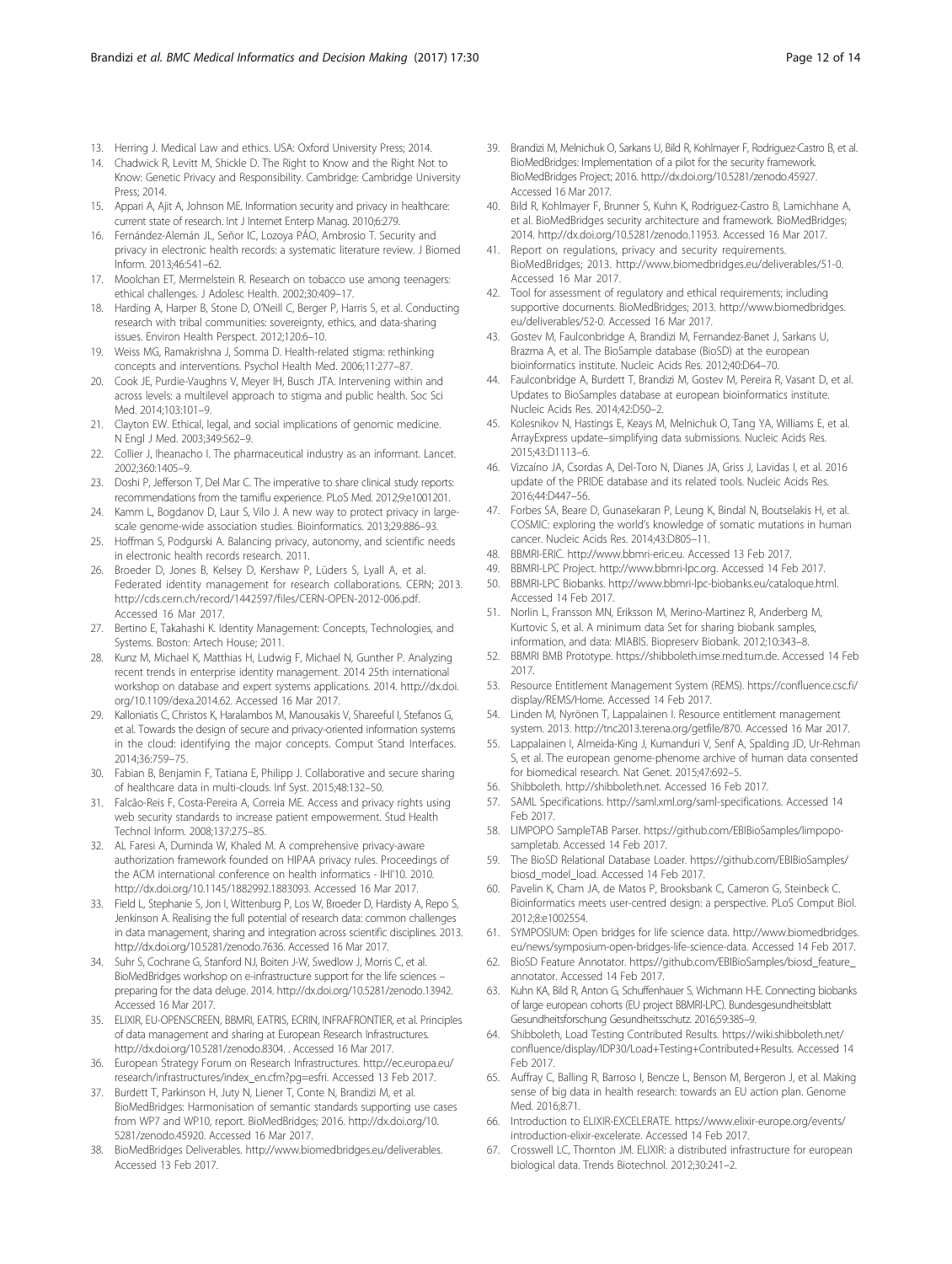- <span id="page-11-0"></span>13. Herring J. Medical Law and ethics. USA: Oxford University Press; 2014.
- 14. Chadwick R, Levitt M, Shickle D. The Right to Know and the Right Not to Know: Genetic Privacy and Responsibility. Cambridge: Cambridge University Press; 2014.
- 15. Appari A, Ajit A, Johnson ME. Information security and privacy in healthcare: current state of research. Int J Internet Enterp Manag. 2010;6:279.
- 16. Fernández-Alemán JL, Señor IC, Lozoya PÁO, Ambrosio T. Security and privacy in electronic health records: a systematic literature review. J Biomed Inform. 2013;46:541–62.
- 17. Moolchan ET, Mermelstein R. Research on tobacco use among teenagers: ethical challenges. J Adolesc Health. 2002;30:409–17.
- 18. Harding A, Harper B, Stone D, O'Neill C, Berger P, Harris S, et al. Conducting research with tribal communities: sovereignty, ethics, and data-sharing issues. Environ Health Perspect. 2012;120:6–10.
- 19. Weiss MG, Ramakrishna J, Somma D. Health-related stigma: rethinking concepts and interventions. Psychol Health Med. 2006;11:277–87.
- 20. Cook JE, Purdie-Vaughns V, Meyer IH, Busch JTA. Intervening within and across levels: a multilevel approach to stigma and public health. Soc Sci Med. 2014;103:101–9.
- 21. Clayton EW. Ethical, legal, and social implications of genomic medicine. N Engl J Med. 2003;349:562–9.
- 22. Collier J, Iheanacho I. The pharmaceutical industry as an informant. Lancet. 2002;360:1405–9.
- 23. Doshi P, Jefferson T, Del Mar C. The imperative to share clinical study reports: recommendations from the tamiflu experience. PLoS Med. 2012;9:e1001201.
- 24. Kamm L, Bogdanov D, Laur S, Vilo J. A new way to protect privacy in largescale genome-wide association studies. Bioinformatics. 2013;29:886–93.
- 25. Hoffman S, Podgurski A. Balancing privacy, autonomy, and scientific needs in electronic health records research. 2011.
- 26. Broeder D, Jones B, Kelsey D, Kershaw P, Lüders S, Lyall A, et al. Federated identity management for research collaborations. CERN; 2013. [http://cds.cern.ch/record/1442597/files/CERN-OPEN-2012-006.pdf.](http://cds.cern.ch/record/1442597/files/CERN-OPEN-2012-006.pdf) Accessed 16 Mar 2017.
- 27. Bertino E, Takahashi K. Identity Management: Concepts, Technologies, and Systems. Boston: Artech House; 2011.
- 28. Kunz M, Michael K, Matthias H, Ludwig F, Michael N, Gunther P. Analyzing recent trends in enterprise identity management. 2014 25th international workshop on database and expert systems applications. 2014. [http://dx.doi.](http://dx.doi.org/10.1109/dexa.2014.62) [org/10.1109/dexa.2014.62](http://dx.doi.org/10.1109/dexa.2014.62). Accessed 16 Mar 2017.
- 29. Kalloniatis C, Christos K, Haralambos M, Manousakis V, Shareeful I, Stefanos G, et al. Towards the design of secure and privacy-oriented information systems in the cloud: identifying the major concepts. Comput Stand Interfaces. 2014;36:759–75.
- 30. Fabian B, Benjamin F, Tatiana E, Philipp J. Collaborative and secure sharing of healthcare data in multi-clouds. Inf Syst. 2015;48:132–50.
- 31. Falcão-Reis F, Costa-Pereira A, Correia ME. Access and privacy rights using web security standards to increase patient empowerment. Stud Health Technol Inform. 2008;137:275–85.
- 32. AL Faresi A, Duminda W, Khaled M. A comprehensive privacy-aware authorization framework founded on HIPAA privacy rules. Proceedings of the ACM international conference on health informatics - IHI'10. 2010. <http://dx.doi.org/10.1145/1882992.1883093>. Accessed 16 Mar 2017.
- 33. Field L, Stephanie S, Jon I, Wittenburg P, Los W, Broeder D, Hardisty A, Repo S, Jenkinson A. Realising the full potential of research data: common challenges in data management, sharing and integration across scientific disciplines. 2013. <http://dx.doi.org/10.5281/zenodo.7636>. Accessed 16 Mar 2017.
- 34. Suhr S, Cochrane G, Stanford NJ, Boiten J-W, Swedlow J, Morris C, et al. BioMedBridges workshop on e-infrastructure support for the life sciences – preparing for the data deluge. 2014.<http://dx.doi.org/10.5281/zenodo.13942>. Accessed 16 Mar 2017.
- 35. ELIXIR, EU-OPENSCREEN, BBMRI, EATRIS, ECRIN, INFRAFRONTIER, et al. Principles of data management and sharing at European Research Infrastructures. [http://dx.doi.org/10.5281/zenodo.8304.](http://dx.doi.org/10.5281/zenodo.8304) . Accessed 16 Mar 2017.
- 36. European Strategy Forum on Research Infrastructures. [http://ec.europa.eu/](http://ec.europa.eu/research/infrastructures/index_en.cfm?pg=esfri) [research/infrastructures/index\\_en.cfm?pg=esfri.](http://ec.europa.eu/research/infrastructures/index_en.cfm?pg=esfri) Accessed 13 Feb 2017.
- 37. Burdett T, Parkinson H, Juty N, Liener T, Conte N, Brandizi M, et al. BioMedBridges: Harmonisation of semantic standards supporting use cases from WP7 and WP10, report. BioMedBridges; 2016. [http://dx.doi.org/10.](http://dx.doi.org/10.5281/zenodo.45920) [5281/zenodo.45920.](http://dx.doi.org/10.5281/zenodo.45920) Accessed 16 Mar 2017.
- 38. BioMedBridges Deliverables. [http://www.biomedbridges.eu/deliverables.](http://www.biomedbridges.eu/deliverables) Accessed 13 Feb 2017.
- 39. Brandizi M, Melnichuk O, Sarkans U, Bild R, Kohlmayer F, Rodriguez-Castro B, et al. BioMedBridges: Implementation of a pilot for the security framework. BioMedBridges Project; 2016.<http://dx.doi.org/10.5281/zenodo.45927>. Accessed 16 Mar 2017.
- 40. Bild R, Kohlmayer F, Brunner S, Kuhn K, Rodriguez-Castro B, Lamichhane A, et al. BioMedBridges security architecture and framework. BioMedBridges: 2014.<http://dx.doi.org/10.5281/zenodo.11953>. Accessed 16 Mar 2017.
- 41. Report on regulations, privacy and security requirements. BioMedBridges; 2013. [http://www.biomedbridges.eu/deliverables/51-0.](http://www.biomedbridges.eu/deliverables/51-0) Accessed 16 Mar 2017.
- 42. Tool for assessment of regulatory and ethical requirements; including supportive documents. BioMedBridges; 2013. [http://www.biomedbridges.](http://www.biomedbridges.eu/deliverables/52-0) [eu/deliverables/52-0.](http://www.biomedbridges.eu/deliverables/52-0) Accessed 16 Mar 2017.
- 43. Gostev M, Faulconbridge A, Brandizi M, Fernandez-Banet J, Sarkans U, Brazma A, et al. The BioSample database (BioSD) at the european bioinformatics institute. Nucleic Acids Res. 2012;40:D64–70.
- 44. Faulconbridge A, Burdett T, Brandizi M, Gostev M, Pereira R, Vasant D, et al. Updates to BioSamples database at european bioinformatics institute. Nucleic Acids Res. 2014;42:D50–2.
- 45. Kolesnikov N, Hastings E, Keays M, Melnichuk O, Tang YA, Williams E, et al. ArrayExpress update–simplifying data submissions. Nucleic Acids Res. 2015;43:D1113–6.
- 46. Vizcaíno JA, Csordas A, Del-Toro N, Dianes JA, Griss J, Lavidas I, et al. 2016 update of the PRIDE database and its related tools. Nucleic Acids Res. 2016;44:D447–56.
- 47. Forbes SA, Beare D, Gunasekaran P, Leung K, Bindal N, Boutselakis H, et al. COSMIC: exploring the world's knowledge of somatic mutations in human cancer. Nucleic Acids Res. 2014;43:D805–11.
- 48. BBMRI-ERIC.<http://www.bbmri-eric.eu>. Accessed 13 Feb 2017.
- 49. BBMRI-LPC Project.<http://www.bbmri-lpc.org>. Accessed 14 Feb 2017.
- 50. BBMRI-LPC Biobanks. [http://www.bbmri-lpc-biobanks.eu/cataloque.html.](http://www.bbmri-lpc-biobanks.eu/cataloque.html) Accessed 14 Feb 2017.
- 51. Norlin L, Fransson MN, Eriksson M, Merino-Martinez R, Anderberg M, Kurtovic S, et al. A minimum data Set for sharing biobank samples, information, and data: MIABIS. Biopreserv Biobank. 2012;10:343–8.
- 52. BBMRI BMB Prototype. [https://shibboleth.imse.med.tum.de](https://shibboleth.imse.med.tum.de/). Accessed 14 Feb 2017.
- 53. Resource Entitlement Management System (REMS). [https://confluence.csc.fi/](https://confluence.csc.fi/display/REMS/Home) [display/REMS/Home](https://confluence.csc.fi/display/REMS/Home). Accessed 14 Feb 2017.
- 54. Linden M, Nyrönen T, Lappalainen I. Resource entitlement management system. 2013.<http://tnc2013.terena.org/getfile/870>. Accessed 16 Mar 2017.
- 55. Lappalainen I, Almeida-King J, Kumanduri V, Senf A, Spalding JD, Ur-Rehman S, et al. The european genome-phenome archive of human data consented for biomedical research. Nat Genet. 2015;47:692–5.
- 56. Shibboleth. [http://shibboleth.net.](http://shibboleth.net) Accessed 16 Feb 2017.
- 57. SAML Specifications. [http://saml.xml.org/saml-specifications.](http://saml.xml.org/saml-specifications) Accessed 14 Feb 2017.
- 58. LIMPOPO SampleTAB Parser. [https://github.com/EBIBioSamples/limpopo](https://github.com/EBIBioSamples/limpopo-sampletab)[sampletab](https://github.com/EBIBioSamples/limpopo-sampletab). Accessed 14 Feb 2017.
- 59. The BioSD Relational Database Loader. [https://github.com/EBIBioSamples/](https://github.com/EBIBioSamples/biosd_model_load) [biosd\\_model\\_load](https://github.com/EBIBioSamples/biosd_model_load). Accessed 14 Feb 2017.
- 60. Pavelin K, Cham JA, de Matos P, Brooksbank C, Cameron G, Steinbeck C. Bioinformatics meets user-centred design: a perspective. PLoS Comput Biol. 2012;8:e1002554.
- 61. SYMPOSIUM: Open bridges for life science data. [http://www.biomedbridges.](http://www.biomedbridges.eu/news/symposium-open-bridges-life-science-data) [eu/news/symposium-open-bridges-life-science-data](http://www.biomedbridges.eu/news/symposium-open-bridges-life-science-data). Accessed 14 Feb 2017.
- 62. BioSD Feature Annotator. [https://github.com/EBIBioSamples/biosd\\_feature\\_](https://github.com/EBIBioSamples/biosd_feature_annotator) [annotator.](https://github.com/EBIBioSamples/biosd_feature_annotator) Accessed 14 Feb 2017.
- 63. Kuhn KA, Bild R, Anton G, Schuffenhauer S, Wichmann H-E. Connecting biobanks of large european cohorts (EU project BBMRI-LPC). Bundesgesundheitsblatt Gesundheitsforschung Gesundheitsschutz. 2016;59:385–9.
- 64. Shibboleth, Load Testing Contributed Results. [https://wiki.shibboleth.net/](https://wiki.shibboleth.net/confluence/display/IDP30/Load+Testing+Contributed+Results) [confluence/display/IDP30/Load+Testing+Contributed+Results.](https://wiki.shibboleth.net/confluence/display/IDP30/Load+Testing+Contributed+Results) Accessed 14 Feb 2017.
- 65. Auffray C, Balling R, Barroso I, Bencze L, Benson M, Bergeron J, et al. Making sense of big data in health research: towards an EU action plan. Genome Med. 2016;8:71.
- 66. Introduction to ELIXIR-EXCELERATE. [https://www.elixir-europe.org/events/](https://www.elixir-europe.org/events/introduction-elixir-excelerate) [introduction-elixir-excelerate.](https://www.elixir-europe.org/events/introduction-elixir-excelerate) Accessed 14 Feb 2017.
- 67. Crosswell LC, Thornton JM. ELIXIR: a distributed infrastructure for european biological data. Trends Biotechnol. 2012;30:241–2.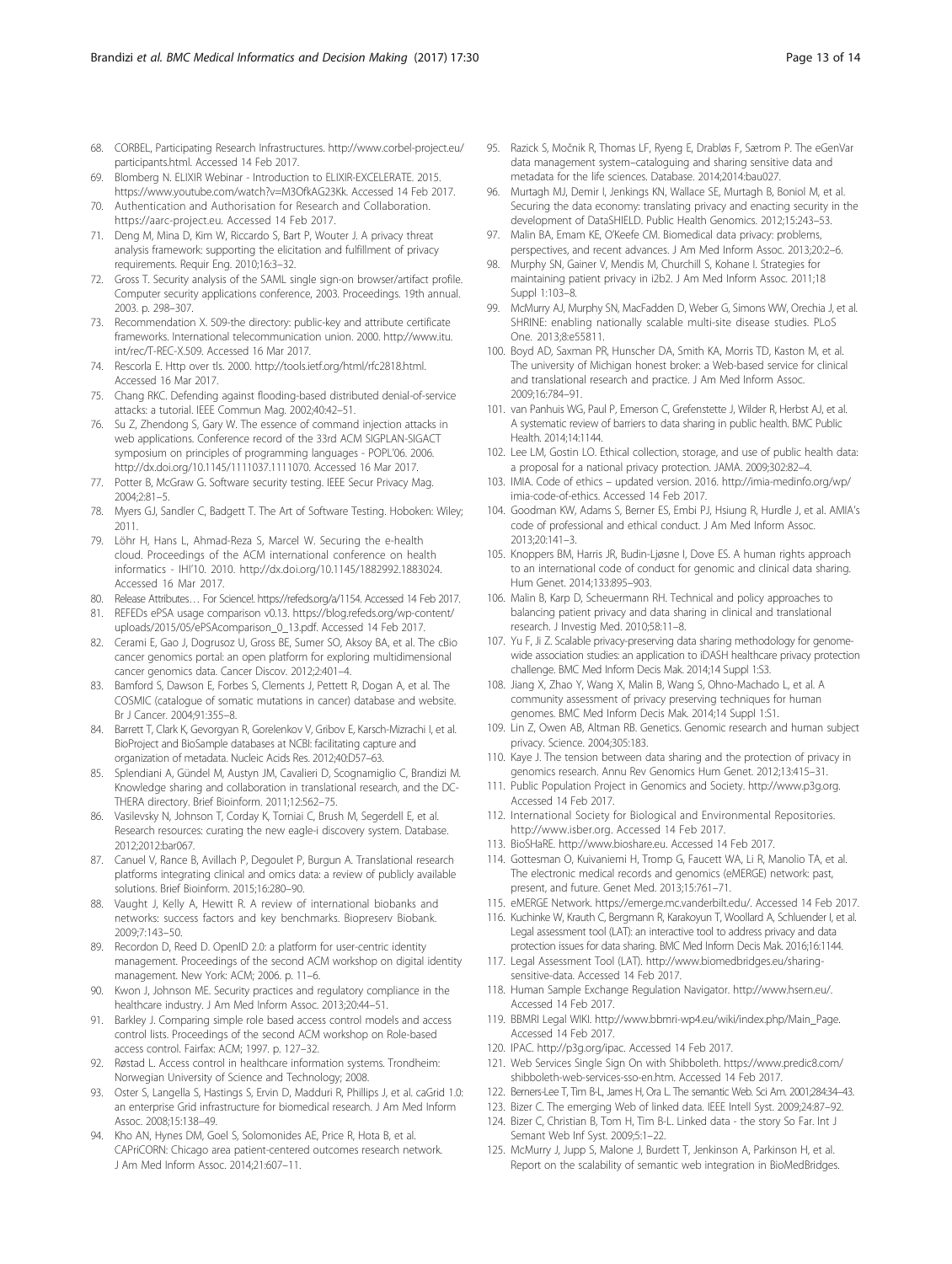- <span id="page-12-0"></span>68. CORBEL, Participating Research Infrastructures. [http://www.corbel-project.eu/](http://www.corbel-project.eu/participants.html) [participants.html](http://www.corbel-project.eu/participants.html). Accessed 14 Feb 2017.
- 69. Blomberg N. ELIXIR Webinar Introduction to ELIXIR-EXCELERATE. 2015. [https://www.youtube.com/watch?v=M3OfkAG23Kk.](https://www.youtube.com/watch?v=M3OfkAG23Kk) Accessed 14 Feb 2017.
- 70. Authentication and Authorisation for Research and Collaboration. [https://aarc-project.eu.](https://aarc-project.eu/) Accessed 14 Feb 2017.
- 71. Deng M, Mina D, Kim W, Riccardo S, Bart P, Wouter J. A privacy threat analysis framework: supporting the elicitation and fulfillment of privacy requirements. Requir Eng. 2010;16:3–32.
- 72. Gross T. Security analysis of the SAML single sign-on browser/artifact profile. Computer security applications conference, 2003. Proceedings. 19th annual. 2003. p. 298–307.
- 73. Recommendation X. 509-the directory: public-key and attribute certificate frameworks. International telecommunication union. 2000. [http://www.itu.](http://www.itu.int/rec/T-REC-X.509) [int/rec/T-REC-X.509](http://www.itu.int/rec/T-REC-X.509). Accessed 16 Mar 2017.
- 74. Rescorla E. Http over tls. 2000. [http://tools.ietf.org/html/rfc2818.html.](http://tools.ietf.org/html/rfc2818.html) Accessed 16 Mar 2017.
- 75. Chang RKC. Defending against flooding-based distributed denial-of-service attacks: a tutorial. IEEE Commun Mag. 2002;40:42–51.
- 76. Su Z, Zhendong S, Gary W. The essence of command injection attacks in web applications. Conference record of the 33rd ACM SIGPLAN-SIGACT symposium on principles of programming languages - POPL'06. 2006. <http://dx.doi.org/10.1145/1111037.1111070>. Accessed 16 Mar 2017.
- 77. Potter B, McGraw G. Software security testing. IEEE Secur Privacy Mag. 2004;2:81–5.
- 78. Myers GJ, Sandler C, Badgett T. The Art of Software Testing. Hoboken: Wiley; 2011.
- 79. Löhr H, Hans L, Ahmad-Reza S, Marcel W. Securing the e-health cloud. Proceedings of the ACM international conference on health informatics - IHI'10. 2010.<http://dx.doi.org/10.1145/1882992.1883024>. Accessed 16 Mar 2017.
- 80. Release Attributes… For Science!.<https://refeds.org/a/1154>. Accessed 14 Feb 2017.
- 81. REFEDs ePSA usage comparison v0.13. [https://blog.refeds.org/wp-content/](https://blog.refeds.org/wp-content/uploads/2015/05/ePSAcomparison_0_13.pdf) [uploads/2015/05/ePSAcomparison\\_0\\_13.pdf.](https://blog.refeds.org/wp-content/uploads/2015/05/ePSAcomparison_0_13.pdf) Accessed 14 Feb 2017.
- 82. Cerami E, Gao J, Dogrusoz U, Gross BE, Sumer SO, Aksoy BA, et al. The cBio cancer genomics portal: an open platform for exploring multidimensional cancer genomics data. Cancer Discov. 2012;2:401–4.
- 83. Bamford S, Dawson E, Forbes S, Clements J, Pettett R, Dogan A, et al. The COSMIC (catalogue of somatic mutations in cancer) database and website. Br J Cancer. 2004;91:355–8.
- 84. Barrett T, Clark K, Gevorgyan R, Gorelenkov V, Gribov E, Karsch-Mizrachi I, et al. BioProject and BioSample databases at NCBI: facilitating capture and organization of metadata. Nucleic Acids Res. 2012;40:D57–63.
- 85. Splendiani A, Gündel M, Austyn JM, Cavalieri D, Scognamiglio C, Brandizi M. Knowledge sharing and collaboration in translational research, and the DC-THERA directory. Brief Bioinform. 2011;12:562–75.
- 86. Vasilevsky N, Johnson T, Corday K, Torniai C, Brush M, Segerdell E, et al. Research resources: curating the new eagle-i discovery system. Database. 2012;2012:bar067.
- 87. Canuel V, Rance B, Avillach P, Degoulet P, Burgun A. Translational research platforms integrating clinical and omics data: a review of publicly available solutions. Brief Bioinform. 2015;16:280–90.
- 88. Vaught J, Kelly A, Hewitt R. A review of international biobanks and networks: success factors and key benchmarks. Biopreserv Biobank. 2009;7:143–50.
- 89. Recordon D, Reed D. OpenID 2.0: a platform for user-centric identity management. Proceedings of the second ACM workshop on digital identity management. New York: ACM; 2006. p. 11–6.
- 90. Kwon J, Johnson ME. Security practices and regulatory compliance in the healthcare industry. J Am Med Inform Assoc. 2013;20:44–51.
- 91. Barkley J. Comparing simple role based access control models and access control lists. Proceedings of the second ACM workshop on Role-based access control. Fairfax: ACM; 1997. p. 127–32.
- 92. Røstad L. Access control in healthcare information systems. Trondheim: Norwegian University of Science and Technology; 2008.
- 93. Oster S, Langella S, Hastings S, Ervin D, Madduri R, Phillips J, et al. caGrid 1.0: an enterprise Grid infrastructure for biomedical research. J Am Med Inform Assoc. 2008;15:138–49.
- 94. Kho AN, Hynes DM, Goel S, Solomonides AE, Price R, Hota B, et al. CAPriCORN: Chicago area patient-centered outcomes research network. J Am Med Inform Assoc. 2014;21:607–11.
- 95. Razick S, Močnik R, Thomas LF, Ryeng E, Drabløs F, Sætrom P. The eGenVar data management system–cataloguing and sharing sensitive data and metadata for the life sciences. Database. 2014;2014:bau027.
- 96. Murtagh MJ, Demir I, Jenkings KN, Wallace SE, Murtagh B, Boniol M, et al. Securing the data economy: translating privacy and enacting security in the development of DataSHIELD. Public Health Genomics. 2012;15:243–53.
- 97. Malin BA, Emam KE, O'Keefe CM. Biomedical data privacy: problems, perspectives, and recent advances. J Am Med Inform Assoc. 2013;20:2–6.
- 98. Murphy SN, Gainer V, Mendis M, Churchill S, Kohane I. Strategies for maintaining patient privacy in i2b2. J Am Med Inform Assoc. 2011;18 Suppl 1:103–8.
- 99. McMurry AJ, Murphy SN, MacFadden D, Weber G, Simons WW, Orechia J, et al. SHRINE: enabling nationally scalable multi-site disease studies. PLoS One. 2013;8:e55811.
- 100. Boyd AD, Saxman PR, Hunscher DA, Smith KA, Morris TD, Kaston M, et al. The university of Michigan honest broker: a Web-based service for clinical and translational research and practice. J Am Med Inform Assoc. 2009;16:784–91.
- 101. van Panhuis WG, Paul P, Emerson C, Grefenstette J, Wilder R, Herbst AJ, et al. A systematic review of barriers to data sharing in public health. BMC Public Health. 2014;14:1144.
- 102. Lee LM, Gostin LO. Ethical collection, storage, and use of public health data: a proposal for a national privacy protection. JAMA. 2009;302:82–4.
- 103. IMIA. Code of ethics updated version. 2016. [http://imia-medinfo.org/wp/](http://imia-medinfo.org/wp/imia-code-of-ethics) [imia-code-of-ethics](http://imia-medinfo.org/wp/imia-code-of-ethics). Accessed 14 Feb 2017.
- 104. Goodman KW, Adams S, Berner ES, Embi PJ, Hsiung R, Hurdle J, et al. AMIA's code of professional and ethical conduct. J Am Med Inform Assoc. 2013;20:141–3.
- 105. Knoppers BM, Harris JR, Budin-Ljøsne I, Dove ES. A human rights approach to an international code of conduct for genomic and clinical data sharing. Hum Genet. 2014;133:895–903.
- 106. Malin B, Karp D, Scheuermann RH. Technical and policy approaches to balancing patient privacy and data sharing in clinical and translational research. J Investig Med. 2010;58:11–8.
- 107. Yu F, Ji Z. Scalable privacy-preserving data sharing methodology for genomewide association studies: an application to iDASH healthcare privacy protection challenge. BMC Med Inform Decis Mak. 2014;14 Suppl 1:S3.
- 108. Jiang X, Zhao Y, Wang X, Malin B, Wang S, Ohno-Machado L, et al. A community assessment of privacy preserving techniques for human genomes. BMC Med Inform Decis Mak. 2014;14 Suppl 1:S1.
- 109. Lin Z, Owen AB, Altman RB. Genetics. Genomic research and human subject privacy. Science. 2004;305:183.
- 110. Kaye J. The tension between data sharing and the protection of privacy in genomics research. Annu Rev Genomics Hum Genet. 2012;13:415–31.
- 111. Public Population Project in Genomics and Society. [http://www.p3g.org.](http://www.p3g.org) Accessed 14 Feb 2017.
- 112. International Society for Biological and Environmental Repositories. <http://www.isber.org>. Accessed 14 Feb 2017.
- 113. BioSHaRE. [http://www.bioshare.eu.](http://www.bioshare.eu) Accessed 14 Feb 2017.
- 114. Gottesman O, Kuivaniemi H, Tromp G, Faucett WA, Li R, Manolio TA, et al. The electronic medical records and genomics (eMERGE) network: past, present, and future. Genet Med. 2013;15:761–71.
- 115. eMERGE Network. [https://emerge.mc.vanderbilt.edu/.](https://emerge.mc.vanderbilt.edu/) Accessed 14 Feb 2017.
- 116. Kuchinke W, Krauth C, Bergmann R, Karakoyun T, Woollard A, Schluender I, et al. Legal assessment tool (LAT): an interactive tool to address privacy and data protection issues for data sharing. BMC Med Inform Decis Mak. 2016;16:1144.
- 117. Legal Assessment Tool (LAT). [http://www.biomedbridges.eu/sharing](http://www.biomedbridges.eu/sharing-sensitive-data)[sensitive-data](http://www.biomedbridges.eu/sharing-sensitive-data). Accessed 14 Feb 2017.
- 118. Human Sample Exchange Regulation Navigator. [http://www.hsern.eu/.](http://www.hsern.eu/) Accessed 14 Feb 2017.
- 119. BBMRI Legal WIKI. [http://www.bbmri-wp4.eu/wiki/index.php/Main\\_Page.](http://www.bbmri-wp4.eu/wiki/index.php/Main_Page) Accessed 14 Feb 2017.
- 120. IPAC.<http://p3g.org/ipac>. Accessed 14 Feb 2017.
- 121. Web Services Single Sign On with Shibboleth. [https://www.predic8.com/](https://www.predic8.com/shibboleth-web-services-sso-en.htm) [shibboleth-web-services-sso-en.htm.](https://www.predic8.com/shibboleth-web-services-sso-en.htm) Accessed 14 Feb 2017.
- 122. Berners-Lee T, Tim B-L, James H, Ora L. The semantic Web. Sci Am. 2001;284:34–43.
- 123. Bizer C. The emerging Web of linked data. IEEE Intell Syst. 2009;24:87–92.
- 124. Bizer C, Christian B, Tom H, Tim B-L. Linked data the story So Far. Int J Semant Web Inf Syst. 2009;5:1–22.
- 125. McMurry J, Jupp S, Malone J, Burdett T, Jenkinson A, Parkinson H, et al. Report on the scalability of semantic web integration in BioMedBridges.